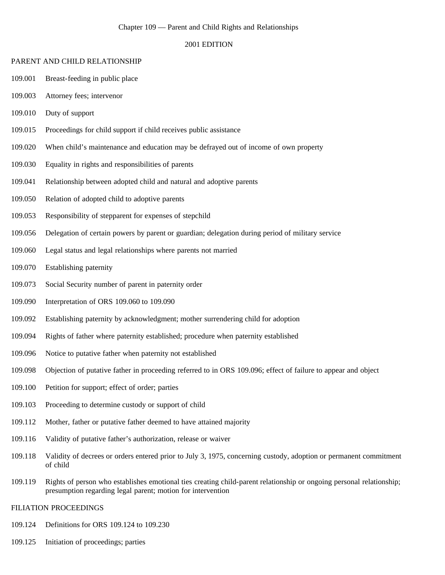#### Chapter 109 — Parent and Child Rights and Relationships

## 2001 EDITION

#### PARENT AND CHILD RELATIONSHIP

- 109.001 Breast-feeding in public place
- 109.003 Attorney fees; intervenor
- 109.010 Duty of support
- 109.015 Proceedings for child support if child receives public assistance
- 109.020 When child's maintenance and education may be defrayed out of income of own property
- 109.030 Equality in rights and responsibilities of parents
- 109.041 Relationship between adopted child and natural and adoptive parents
- 109.050 Relation of adopted child to adoptive parents
- 109.053 Responsibility of stepparent for expenses of stepchild
- 109.056 Delegation of certain powers by parent or guardian; delegation during period of military service
- 109.060 Legal status and legal relationships where parents not married
- 109.070 Establishing paternity
- 109.073 Social Security number of parent in paternity order
- 109.090 Interpretation of ORS 109.060 to 109.090
- 109.092 Establishing paternity by acknowledgment; mother surrendering child for adoption
- 109.094 Rights of father where paternity established; procedure when paternity established
- 109.096 Notice to putative father when paternity not established
- 109.098 Objection of putative father in proceeding referred to in ORS 109.096; effect of failure to appear and object
- 109.100 Petition for support; effect of order; parties
- 109.103 Proceeding to determine custody or support of child
- 109.112 Mother, father or putative father deemed to have attained majority
- 109.116 Validity of putative father's authorization, release or waiver
- 109.118 Validity of decrees or orders entered prior to July 3, 1975, concerning custody, adoption or permanent commitment of child
- 109.119 Rights of person who establishes emotional ties creating child-parent relationship or ongoing personal relationship; presumption regarding legal parent; motion for intervention

## FILIATION PROCEEDINGS

- 109.124 Definitions for ORS 109.124 to 109.230
- 109.125 Initiation of proceedings; parties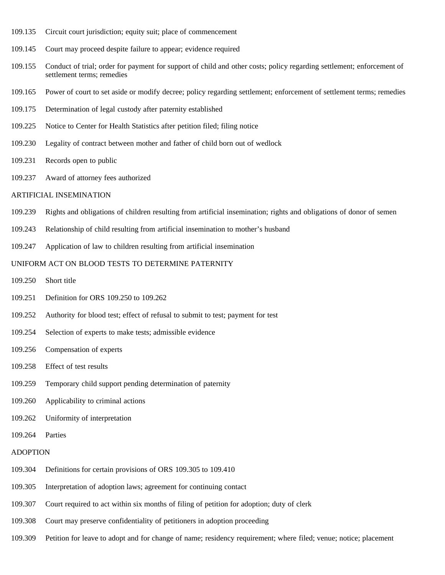- 109.135 Circuit court jurisdiction; equity suit; place of commencement
- 109.145 Court may proceed despite failure to appear; evidence required
- 109.155 Conduct of trial; order for payment for support of child and other costs; policy regarding settlement; enforcement of settlement terms; remedies
- 109.165 Power of court to set aside or modify decree; policy regarding settlement; enforcement of settlement terms; remedies
- 109.175 Determination of legal custody after paternity established
- 109.225 Notice to Center for Health Statistics after petition filed; filing notice
- 109.230 Legality of contract between mother and father of child born out of wedlock
- 109.231 Records open to public
- 109.237 Award of attorney fees authorized

#### ARTIFICIAL INSEMINATION

- 109.239 Rights and obligations of children resulting from artificial insemination; rights and obligations of donor of semen
- 109.243 Relationship of child resulting from artificial insemination to mother's husband
- 109.247 Application of law to children resulting from artificial insemination

# UNIFORM ACT ON BLOOD TESTS TO DETERMINE PATERNITY

- 109.250 Short title
- 109.251 Definition for ORS 109.250 to 109.262
- 109.252 Authority for blood test; effect of refusal to submit to test; payment for test
- 109.254 Selection of experts to make tests; admissible evidence
- 109.256 Compensation of experts
- 109.258 Effect of test results
- 109.259 Temporary child support pending determination of paternity
- 109.260 Applicability to criminal actions
- 109.262 Uniformity of interpretation
- 109.264 Parties

### ADOPTION

- 109.304 Definitions for certain provisions of ORS 109.305 to 109.410
- 109.305 Interpretation of adoption laws; agreement for continuing contact
- 109.307 Court required to act within six months of filing of petition for adoption; duty of clerk
- 109.308 Court may preserve confidentiality of petitioners in adoption proceeding
- 109.309 Petition for leave to adopt and for change of name; residency requirement; where filed; venue; notice; placement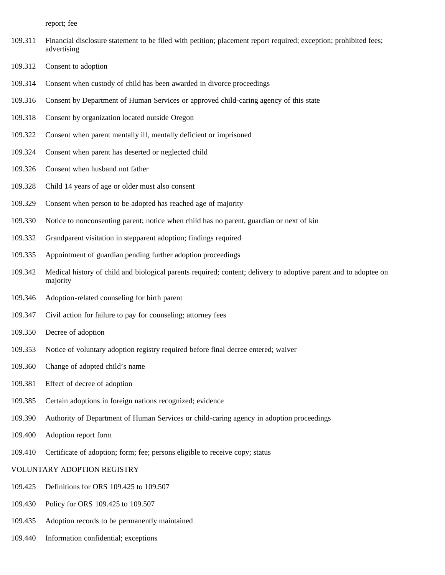report; fee

- 109.311 Financial disclosure statement to be filed with petition; placement report required; exception; prohibited fees; advertising
- 109.312 Consent to adoption
- 109.314 Consent when custody of child has been awarded in divorce proceedings
- 109.316 Consent by Department of Human Services or approved child-caring agency of this state
- 109.318 Consent by organization located outside Oregon
- 109.322 Consent when parent mentally ill, mentally deficient or imprisoned
- 109.324 Consent when parent has deserted or neglected child
- 109.326 Consent when husband not father
- 109.328 Child 14 years of age or older must also consent
- 109.329 Consent when person to be adopted has reached age of majority
- 109.330 Notice to nonconsenting parent; notice when child has no parent, guardian or next of kin
- 109.332 Grandparent visitation in stepparent adoption; findings required
- 109.335 Appointment of guardian pending further adoption proceedings
- 109.342 Medical history of child and biological parents required; content; delivery to adoptive parent and to adoptee on majority
- 109.346 Adoption-related counseling for birth parent
- 109.347 Civil action for failure to pay for counseling; attorney fees
- 109.350 Decree of adoption
- 109.353 Notice of voluntary adoption registry required before final decree entered; waiver
- 109.360 Change of adopted child's name
- 109.381 Effect of decree of adoption
- 109.385 Certain adoptions in foreign nations recognized; evidence
- 109.390 Authority of Department of Human Services or child-caring agency in adoption proceedings
- 109.400 Adoption report form
- 109.410 Certificate of adoption; form; fee; persons eligible to receive copy; status

## VOLUNTARY ADOPTION REGISTRY

- 109.425 Definitions for ORS 109.425 to 109.507
- 109.430 Policy for ORS 109.425 to 109.507
- 109.435 Adoption records to be permanently maintained
- 109.440 Information confidential; exceptions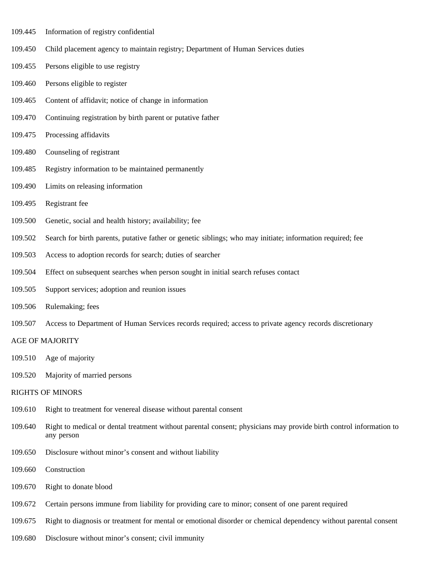- 109.445 Information of registry confidential
- 109.450 Child placement agency to maintain registry; Department of Human Services duties
- 109.455 Persons eligible to use registry
- 109.460 Persons eligible to register
- 109.465 Content of affidavit; notice of change in information
- 109.470 Continuing registration by birth parent or putative father
- 109.475 Processing affidavits
- 109.480 Counseling of registrant
- 109.485 Registry information to be maintained permanently
- 109.490 Limits on releasing information
- 109.495 Registrant fee
- 109.500 Genetic, social and health history; availability; fee
- 109.502 Search for birth parents, putative father or genetic siblings; who may initiate; information required; fee
- 109.503 Access to adoption records for search; duties of searcher
- 109.504 Effect on subsequent searches when person sought in initial search refuses contact
- 109.505 Support services; adoption and reunion issues
- 109.506 Rulemaking; fees
- 109.507 Access to Department of Human Services records required; access to private agency records discretionary

## AGE OF MAJORITY

- 109.510 Age of majority
- 109.520 Majority of married persons

## RIGHTS OF MINORS

- 109.610 Right to treatment for venereal disease without parental consent
- 109.640 Right to medical or dental treatment without parental consent; physicians may provide birth control information to any person
- 109.650 Disclosure without minor's consent and without liability
- 109.660 Construction
- 109.670 Right to donate blood
- 109.672 Certain persons immune from liability for providing care to minor; consent of one parent required
- 109.675 Right to diagnosis or treatment for mental or emotional disorder or chemical dependency without parental consent
- 109.680 Disclosure without minor's consent; civil immunity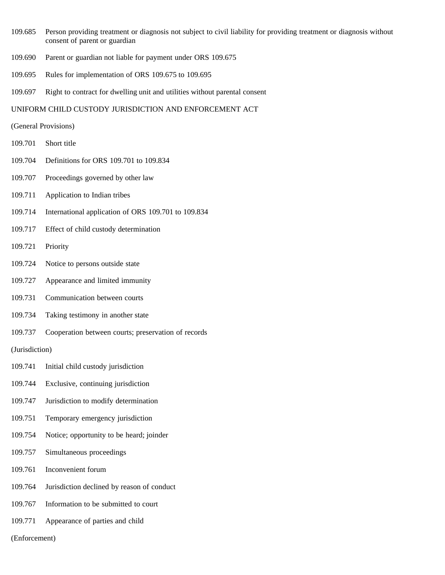- 109.685 Person providing treatment or diagnosis not subject to civil liability for providing treatment or diagnosis without consent of parent or guardian
- 109.690 Parent or guardian not liable for payment under ORS 109.675
- 109.695 Rules for implementation of ORS 109.675 to 109.695
- 109.697 Right to contract for dwelling unit and utilities without parental consent

## UNIFORM CHILD CUSTODY JURISDICTION AND ENFORCEMENT ACT

- (General Provisions)
- 109.701 Short title
- 109.704 Definitions for ORS 109.701 to 109.834
- 109.707 Proceedings governed by other law
- 109.711 Application to Indian tribes
- 109.714 International application of ORS 109.701 to 109.834
- 109.717 Effect of child custody determination
- 109.721 Priority
- 109.724 Notice to persons outside state
- 109.727 Appearance and limited immunity
- 109.731 Communication between courts
- 109.734 Taking testimony in another state
- 109.737 Cooperation between courts; preservation of records

(Jurisdiction)

- 109.741 Initial child custody jurisdiction
- 109.744 Exclusive, continuing jurisdiction
- 109.747 Jurisdiction to modify determination
- 109.751 Temporary emergency jurisdiction
- 109.754 Notice; opportunity to be heard; joinder
- 109.757 Simultaneous proceedings
- 109.761 Inconvenient forum
- 109.764 Jurisdiction declined by reason of conduct
- 109.767 Information to be submitted to court
- 109.771 Appearance of parties and child

(Enforcement)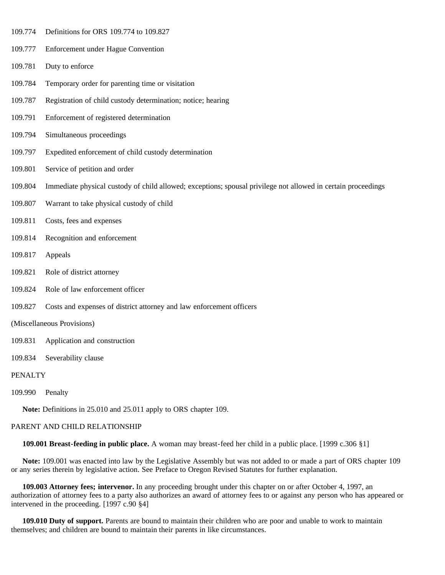- 109.774 Definitions for ORS 109.774 to 109.827
- 109.777 Enforcement under Hague Convention
- 109.781 Duty to enforce
- 109.784 Temporary order for parenting time or visitation
- 109.787 Registration of child custody determination; notice; hearing
- 109.791 Enforcement of registered determination
- 109.794 Simultaneous proceedings
- 109.797 Expedited enforcement of child custody determination
- 109.801 Service of petition and order
- 109.804 Immediate physical custody of child allowed; exceptions; spousal privilege not allowed in certain proceedings
- 109.807 Warrant to take physical custody of child
- 109.811 Costs, fees and expenses
- 109.814 Recognition and enforcement
- 109.817 Appeals
- 109.821 Role of district attorney
- 109.824 Role of law enforcement officer
- 109.827 Costs and expenses of district attorney and law enforcement officers
- (Miscellaneous Provisions)
- 109.831 Application and construction
- 109.834 Severability clause

## **PENALTY**

109.990 Penalty

 **Note:** Definitions in 25.010 and 25.011 apply to ORS chapter 109.

#### PARENT AND CHILD RELATIONSHIP

 **109.001 Breast-feeding in public place.** A woman may breast-feed her child in a public place. [1999 c.306 §1]

 **Note:** 109.001 was enacted into law by the Legislative Assembly but was not added to or made a part of ORS chapter 109 or any series therein by legislative action. See Preface to Oregon Revised Statutes for further explanation.

 **109.003 Attorney fees; intervenor.** In any proceeding brought under this chapter on or after October 4, 1997, an authorization of attorney fees to a party also authorizes an award of attorney fees to or against any person who has appeared or intervened in the proceeding. [1997 c.90 §4]

 **109.010 Duty of support.** Parents are bound to maintain their children who are poor and unable to work to maintain themselves; and children are bound to maintain their parents in like circumstances.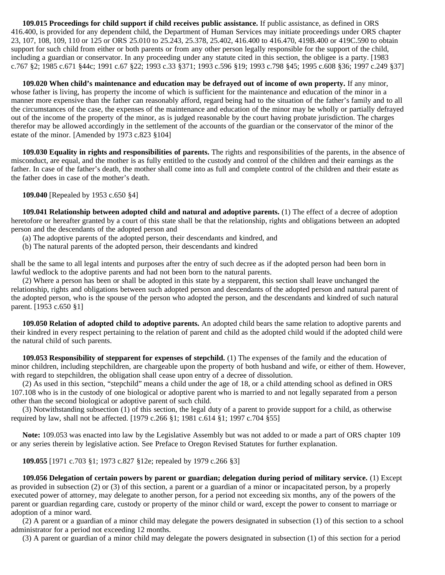**109.015 Proceedings for child support if child receives public assistance.** If public assistance, as defined in ORS 416.400, is provided for any dependent child, the Department of Human Services may initiate proceedings under ORS chapter 23, 107, 108, 109, 110 or 125 or ORS 25.010 to 25.243, 25.378, 25.402, 416.400 to 416.470, 419B.400 or 419C.590 to obtain support for such child from either or both parents or from any other person legally responsible for the support of the child, including a guardian or conservator. In any proceeding under any statute cited in this section, the obligee is a party. [1983 c.767 §2; 1985 c.671 §44c; 1991 c.67 §22; 1993 c.33 §371; 1993 c.596 §19; 1993 c.798 §45; 1995 c.608 §36; 1997 c.249 §37]

 **109.020 When child's maintenance and education may be defrayed out of income of own property.** If any minor, whose father is living, has property the income of which is sufficient for the maintenance and education of the minor in a manner more expensive than the father can reasonably afford, regard being had to the situation of the father's family and to all the circumstances of the case, the expenses of the maintenance and education of the minor may be wholly or partially defrayed out of the income of the property of the minor, as is judged reasonable by the court having probate jurisdiction. The charges therefor may be allowed accordingly in the settlement of the accounts of the guardian or the conservator of the minor of the estate of the minor. [Amended by 1973 c.823 §104]

 **109.030 Equality in rights and responsibilities of parents.** The rights and responsibilities of the parents, in the absence of misconduct, are equal, and the mother is as fully entitled to the custody and control of the children and their earnings as the father. In case of the father's death, the mother shall come into as full and complete control of the children and their estate as the father does in case of the mother's death.

 **109.040** [Repealed by 1953 c.650 §4]

 **109.041 Relationship between adopted child and natural and adoptive parents.** (1) The effect of a decree of adoption heretofore or hereafter granted by a court of this state shall be that the relationship, rights and obligations between an adopted person and the descendants of the adopted person and

- (a) The adoptive parents of the adopted person, their descendants and kindred, and
- (b) The natural parents of the adopted person, their descendants and kindred

shall be the same to all legal intents and purposes after the entry of such decree as if the adopted person had been born in lawful wedlock to the adoptive parents and had not been born to the natural parents.

 (2) Where a person has been or shall be adopted in this state by a stepparent, this section shall leave unchanged the relationship, rights and obligations between such adopted person and descendants of the adopted person and natural parent of the adopted person, who is the spouse of the person who adopted the person, and the descendants and kindred of such natural parent. [1953 c.650 §1]

 **109.050 Relation of adopted child to adoptive parents.** An adopted child bears the same relation to adoptive parents and their kindred in every respect pertaining to the relation of parent and child as the adopted child would if the adopted child were the natural child of such parents.

 **109.053 Responsibility of stepparent for expenses of stepchild.** (1) The expenses of the family and the education of minor children, including stepchildren, are chargeable upon the property of both husband and wife, or either of them. However, with regard to stepchildren, the obligation shall cease upon entry of a decree of dissolution.

 (2) As used in this section, "stepchild" means a child under the age of 18, or a child attending school as defined in ORS 107.108 who is in the custody of one biological or adoptive parent who is married to and not legally separated from a person other than the second biological or adoptive parent of such child.

 (3) Notwithstanding subsection (1) of this section, the legal duty of a parent to provide support for a child, as otherwise required by law, shall not be affected. [1979 c.266 §1; 1981 c.614 §1; 1997 c.704 §55]

 **Note:** 109.053 was enacted into law by the Legislative Assembly but was not added to or made a part of ORS chapter 109 or any series therein by legislative action. See Preface to Oregon Revised Statutes for further explanation.

 **109.055** [1971 c.703 §1; 1973 c.827 §12e; repealed by 1979 c.266 §3]

 **109.056 Delegation of certain powers by parent or guardian; delegation during period of military service.** (1) Except as provided in subsection (2) or (3) of this section, a parent or a guardian of a minor or incapacitated person, by a properly executed power of attorney, may delegate to another person, for a period not exceeding six months, any of the powers of the parent or guardian regarding care, custody or property of the minor child or ward, except the power to consent to marriage or adoption of a minor ward.

 (2) A parent or a guardian of a minor child may delegate the powers designated in subsection (1) of this section to a school administrator for a period not exceeding 12 months.

(3) A parent or guardian of a minor child may delegate the powers designated in subsection (1) of this section for a period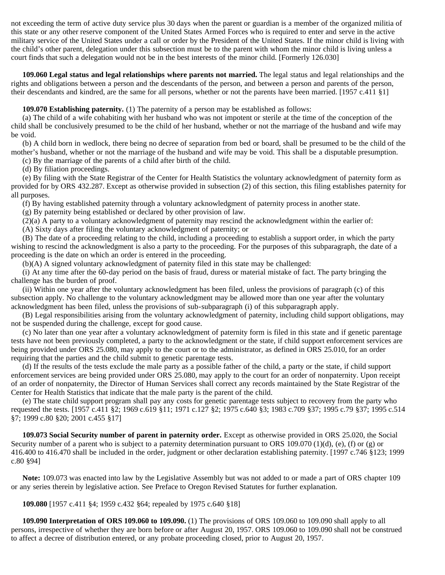not exceeding the term of active duty service plus 30 days when the parent or guardian is a member of the organized militia of this state or any other reserve component of the United States Armed Forces who is required to enter and serve in the active military service of the United States under a call or order by the President of the United States. If the minor child is living with the child's other parent, delegation under this subsection must be to the parent with whom the minor child is living unless a court finds that such a delegation would not be in the best interests of the minor child. [Formerly 126.030]

 **109.060 Legal status and legal relationships where parents not married.** The legal status and legal relationships and the rights and obligations between a person and the descendants of the person, and between a person and parents of the person, their descendants and kindred, are the same for all persons, whether or not the parents have been married. [1957 c.411 §1]

**109.070 Establishing paternity.** (1) The paternity of a person may be established as follows:

 (a) The child of a wife cohabiting with her husband who was not impotent or sterile at the time of the conception of the child shall be conclusively presumed to be the child of her husband, whether or not the marriage of the husband and wife may be void.

 (b) A child born in wedlock, there being no decree of separation from bed or board, shall be presumed to be the child of the mother's husband, whether or not the marriage of the husband and wife may be void. This shall be a disputable presumption.

(c) By the marriage of the parents of a child after birth of the child.

(d) By filiation proceedings.

 (e) By filing with the State Registrar of the Center for Health Statistics the voluntary acknowledgment of paternity form as provided for by ORS 432.287. Except as otherwise provided in subsection (2) of this section, this filing establishes paternity for all purposes.

(f) By having established paternity through a voluntary acknowledgment of paternity process in another state.

(g) By paternity being established or declared by other provision of law.

(2)(a) A party to a voluntary acknowledgment of paternity may rescind the acknowledgment within the earlier of:

(A) Sixty days after filing the voluntary acknowledgment of paternity; or

 (B) The date of a proceeding relating to the child, including a proceeding to establish a support order, in which the party wishing to rescind the acknowledgment is also a party to the proceeding. For the purposes of this subparagraph, the date of a proceeding is the date on which an order is entered in the proceeding.

(b)(A) A signed voluntary acknowledgment of paternity filed in this state may be challenged:

 (i) At any time after the 60-day period on the basis of fraud, duress or material mistake of fact. The party bringing the challenge has the burden of proof.

 (ii) Within one year after the voluntary acknowledgment has been filed, unless the provisions of paragraph (c) of this subsection apply. No challenge to the voluntary acknowledgment may be allowed more than one year after the voluntary acknowledgment has been filed, unless the provisions of sub-subparagraph (i) of this subparagraph apply.

 (B) Legal responsibilities arising from the voluntary acknowledgment of paternity, including child support obligations, may not be suspended during the challenge, except for good cause.

 (c) No later than one year after a voluntary acknowledgment of paternity form is filed in this state and if genetic parentage tests have not been previously completed, a party to the acknowledgment or the state, if child support enforcement services are being provided under ORS 25.080, may apply to the court or to the administrator, as defined in ORS 25.010, for an order requiring that the parties and the child submit to genetic parentage tests.

 (d) If the results of the tests exclude the male party as a possible father of the child, a party or the state, if child support enforcement services are being provided under ORS 25.080, may apply to the court for an order of nonpaternity. Upon receipt of an order of nonpaternity, the Director of Human Services shall correct any records maintained by the State Registrar of the Center for Health Statistics that indicate that the male party is the parent of the child.

 (e) The state child support program shall pay any costs for genetic parentage tests subject to recovery from the party who requested the tests. [1957 c.411 §2; 1969 c.619 §11; 1971 c.127 §2; 1975 c.640 §3; 1983 c.709 §37; 1995 c.79 §37; 1995 c.514 §7; 1999 c.80 §20; 2001 c.455 §17]

 **109.073 Social Security number of parent in paternity order.** Except as otherwise provided in ORS 25.020, the Social Security number of a parent who is subject to a paternity determination pursuant to ORS 109.070 (1)(d), (e), (f) or (g) or 416.400 to 416.470 shall be included in the order, judgment or other declaration establishing paternity. [1997 c.746 §123; 1999 c.80 §94]

 **Note:** 109.073 was enacted into law by the Legislative Assembly but was not added to or made a part of ORS chapter 109 or any series therein by legislative action. See Preface to Oregon Revised Statutes for further explanation.

 **109.080** [1957 c.411 §4; 1959 c.432 §64; repealed by 1975 c.640 §18]

 **109.090 Interpretation of ORS 109.060 to 109.090.** (1) The provisions of ORS 109.060 to 109.090 shall apply to all persons, irrespective of whether they are born before or after August 20, 1957. ORS 109.060 to 109.090 shall not be construed to affect a decree of distribution entered, or any probate proceeding closed, prior to August 20, 1957.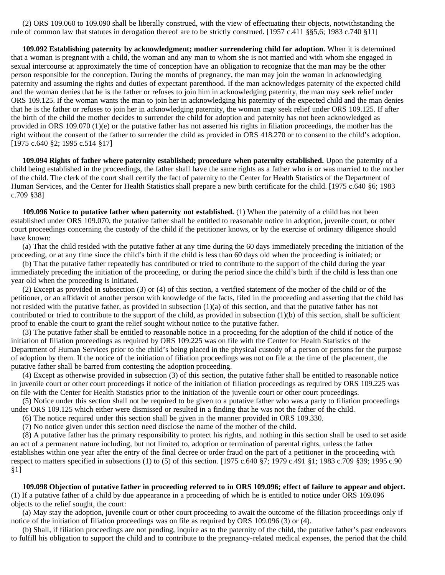(2) ORS 109.060 to 109.090 shall be liberally construed, with the view of effectuating their objects, notwithstanding the rule of common law that statutes in derogation thereof are to be strictly construed. [1957 c.411 §§5,6; 1983 c.740 §11]

 **109.092 Establishing paternity by acknowledgment; mother surrendering child for adoption.** When it is determined that a woman is pregnant with a child, the woman and any man to whom she is not married and with whom she engaged in sexual intercourse at approximately the time of conception have an obligation to recognize that the man may be the other person responsible for the conception. During the months of pregnancy, the man may join the woman in acknowledging paternity and assuming the rights and duties of expectant parenthood. If the man acknowledges paternity of the expected child and the woman denies that he is the father or refuses to join him in acknowledging paternity, the man may seek relief under ORS 109.125. If the woman wants the man to join her in acknowledging his paternity of the expected child and the man denies that he is the father or refuses to join her in acknowledging paternity, the woman may seek relief under ORS 109.125. If after the birth of the child the mother decides to surrender the child for adoption and paternity has not been acknowledged as provided in ORS 109.070 (1)(e) or the putative father has not asserted his rights in filiation proceedings, the mother has the right without the consent of the father to surrender the child as provided in ORS 418.270 or to consent to the child's adoption. [1975 c.640 §2; 1995 c.514 §17]

 **109.094 Rights of father where paternity established; procedure when paternity established.** Upon the paternity of a child being established in the proceedings, the father shall have the same rights as a father who is or was married to the mother of the child. The clerk of the court shall certify the fact of paternity to the Center for Health Statistics of the Department of Human Services, and the Center for Health Statistics shall prepare a new birth certificate for the child. [1975 c.640 §6; 1983 c.709 §38]

 **109.096 Notice to putative father when paternity not established.** (1) When the paternity of a child has not been established under ORS 109.070, the putative father shall be entitled to reasonable notice in adoption, juvenile court, or other court proceedings concerning the custody of the child if the petitioner knows, or by the exercise of ordinary diligence should have known:

 (a) That the child resided with the putative father at any time during the 60 days immediately preceding the initiation of the proceeding, or at any time since the child's birth if the child is less than 60 days old when the proceeding is initiated; or

 (b) That the putative father repeatedly has contributed or tried to contribute to the support of the child during the year immediately preceding the initiation of the proceeding, or during the period since the child's birth if the child is less than one year old when the proceeding is initiated.

 (2) Except as provided in subsection (3) or (4) of this section, a verified statement of the mother of the child or of the petitioner, or an affidavit of another person with knowledge of the facts, filed in the proceeding and asserting that the child has not resided with the putative father, as provided in subsection  $(1)(a)$  of this section, and that the putative father has not contributed or tried to contribute to the support of the child, as provided in subsection  $(1)(b)$  of this section, shall be sufficient proof to enable the court to grant the relief sought without notice to the putative father.

 (3) The putative father shall be entitled to reasonable notice in a proceeding for the adoption of the child if notice of the initiation of filiation proceedings as required by ORS 109.225 was on file with the Center for Health Statistics of the Department of Human Services prior to the child's being placed in the physical custody of a person or persons for the purpose of adoption by them. If the notice of the initiation of filiation proceedings was not on file at the time of the placement, the putative father shall be barred from contesting the adoption proceeding.

 (4) Except as otherwise provided in subsection (3) of this section, the putative father shall be entitled to reasonable notice in juvenile court or other court proceedings if notice of the initiation of filiation proceedings as required by ORS 109.225 was on file with the Center for Health Statistics prior to the initiation of the juvenile court or other court proceedings.

 (5) Notice under this section shall not be required to be given to a putative father who was a party to filiation proceedings under ORS 109.125 which either were dismissed or resulted in a finding that he was not the father of the child.

(6) The notice required under this section shall be given in the manner provided in ORS 109.330.

(7) No notice given under this section need disclose the name of the mother of the child.

 (8) A putative father has the primary responsibility to protect his rights, and nothing in this section shall be used to set aside an act of a permanent nature including, but not limited to, adoption or termination of parental rights, unless the father establishes within one year after the entry of the final decree or order fraud on the part of a petitioner in the proceeding with respect to matters specified in subsections (1) to (5) of this section. [1975 c.640 §7; 1979 c.491 §1; 1983 c.709 §39; 1995 c.90 §1]

 **109.098 Objection of putative father in proceeding referred to in ORS 109.096; effect of failure to appear and object.** (1) If a putative father of a child by due appearance in a proceeding of which he is entitled to notice under ORS 109.096 objects to the relief sought, the court:

 (a) May stay the adoption, juvenile court or other court proceeding to await the outcome of the filiation proceedings only if notice of the initiation of filiation proceedings was on file as required by ORS 109.096 (3) or (4).

 (b) Shall, if filiation proceedings are not pending, inquire as to the paternity of the child, the putative father's past endeavors to fulfill his obligation to support the child and to contribute to the pregnancy-related medical expenses, the period that the child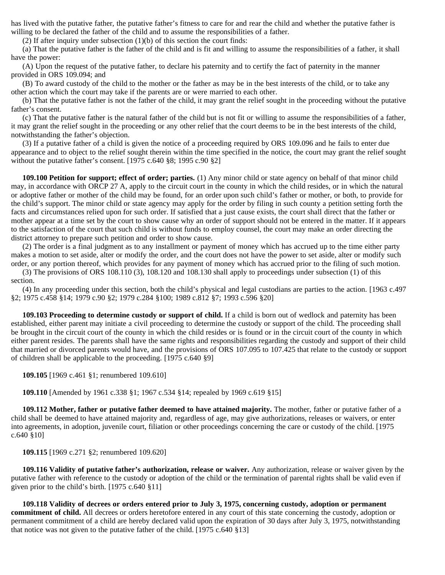has lived with the putative father, the putative father's fitness to care for and rear the child and whether the putative father is willing to be declared the father of the child and to assume the responsibilities of a father.

(2) If after inquiry under subsection (1)(b) of this section the court finds:

 (a) That the putative father is the father of the child and is fit and willing to assume the responsibilities of a father, it shall have the power:

 (A) Upon the request of the putative father, to declare his paternity and to certify the fact of paternity in the manner provided in ORS 109.094; and

 (B) To award custody of the child to the mother or the father as may be in the best interests of the child, or to take any other action which the court may take if the parents are or were married to each other.

 (b) That the putative father is not the father of the child, it may grant the relief sought in the proceeding without the putative father's consent.

 (c) That the putative father is the natural father of the child but is not fit or willing to assume the responsibilities of a father, it may grant the relief sought in the proceeding or any other relief that the court deems to be in the best interests of the child, notwithstanding the father's objection.

 (3) If a putative father of a child is given the notice of a proceeding required by ORS 109.096 and he fails to enter due appearance and to object to the relief sought therein within the time specified in the notice, the court may grant the relief sought without the putative father's consent. [1975 c.640 §8; 1995 c.90 §2]

 **109.100 Petition for support; effect of order; parties.** (1) Any minor child or state agency on behalf of that minor child may, in accordance with ORCP 27 A, apply to the circuit court in the county in which the child resides, or in which the natural or adoptive father or mother of the child may be found, for an order upon such child's father or mother, or both, to provide for the child's support. The minor child or state agency may apply for the order by filing in such county a petition setting forth the facts and circumstances relied upon for such order. If satisfied that a just cause exists, the court shall direct that the father or mother appear at a time set by the court to show cause why an order of support should not be entered in the matter. If it appears to the satisfaction of the court that such child is without funds to employ counsel, the court may make an order directing the district attorney to prepare such petition and order to show cause.

 (2) The order is a final judgment as to any installment or payment of money which has accrued up to the time either party makes a motion to set aside, alter or modify the order, and the court does not have the power to set aside, alter or modify such order, or any portion thereof, which provides for any payment of money which has accrued prior to the filing of such motion.

 (3) The provisions of ORS 108.110 (3), 108.120 and 108.130 shall apply to proceedings under subsection (1) of this section.

 (4) In any proceeding under this section, both the child's physical and legal custodians are parties to the action. [1963 c.497 §2; 1975 c.458 §14; 1979 c.90 §2; 1979 c.284 §100; 1989 c.812 §7; 1993 c.596 §20]

 **109.103 Proceeding to determine custody or support of child.** If a child is born out of wedlock and paternity has been established, either parent may initiate a civil proceeding to determine the custody or support of the child. The proceeding shall be brought in the circuit court of the county in which the child resides or is found or in the circuit court of the county in which either parent resides. The parents shall have the same rights and responsibilities regarding the custody and support of their child that married or divorced parents would have, and the provisions of ORS 107.095 to 107.425 that relate to the custody or support of children shall be applicable to the proceeding. [1975 c.640 §9]

 **109.105** [1969 c.461 §1; renumbered 109.610]

 **109.110** [Amended by 1961 c.338 §1; 1967 c.534 §14; repealed by 1969 c.619 §15]

 **109.112 Mother, father or putative father deemed to have attained majority.** The mother, father or putative father of a child shall be deemed to have attained majority and, regardless of age, may give authorizations, releases or waivers, or enter into agreements, in adoption, juvenile court, filiation or other proceedings concerning the care or custody of the child. [1975 c.640 §10]

 **109.115** [1969 c.271 §2; renumbered 109.620]

 **109.116 Validity of putative father's authorization, release or waiver.** Any authorization, release or waiver given by the putative father with reference to the custody or adoption of the child or the termination of parental rights shall be valid even if given prior to the child's birth. [1975 c.640 §11]

 **109.118 Validity of decrees or orders entered prior to July 3, 1975, concerning custody, adoption or permanent commitment of child.** All decrees or orders heretofore entered in any court of this state concerning the custody, adoption or permanent commitment of a child are hereby declared valid upon the expiration of 30 days after July 3, 1975, notwithstanding that notice was not given to the putative father of the child. [1975 c.640 §13]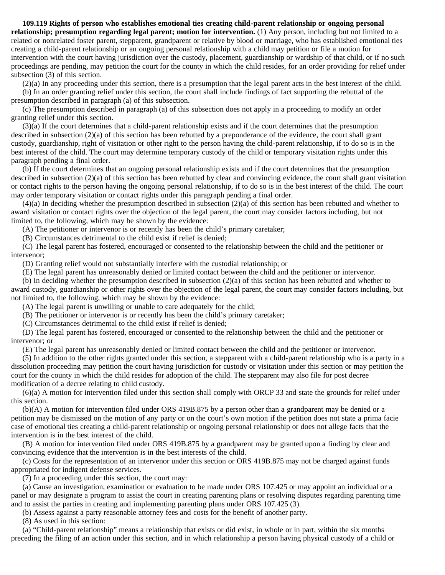**109.119 Rights of person who establishes emotional ties creating child-parent relationship or ongoing personal relationship; presumption regarding legal parent; motion for intervention.** (1) Any person, including but not limited to a related or nonrelated foster parent, stepparent, grandparent or relative by blood or marriage, who has established emotional ties creating a child-parent relationship or an ongoing personal relationship with a child may petition or file a motion for intervention with the court having jurisdiction over the custody, placement, guardianship or wardship of that child, or if no such proceedings are pending, may petition the court for the county in which the child resides, for an order providing for relief under subsection (3) of this section.

 (2)(a) In any proceeding under this section, there is a presumption that the legal parent acts in the best interest of the child. (b) In an order granting relief under this section, the court shall include findings of fact supporting the rebuttal of the presumption described in paragraph (a) of this subsection.

 (c) The presumption described in paragraph (a) of this subsection does not apply in a proceeding to modify an order granting relief under this section.

 (3)(a) If the court determines that a child-parent relationship exists and if the court determines that the presumption described in subsection (2)(a) of this section has been rebutted by a preponderance of the evidence, the court shall grant custody, guardianship, right of visitation or other right to the person having the child-parent relationship, if to do so is in the best interest of the child. The court may determine temporary custody of the child or temporary visitation rights under this paragraph pending a final order.

 (b) If the court determines that an ongoing personal relationship exists and if the court determines that the presumption described in subsection (2)(a) of this section has been rebutted by clear and convincing evidence, the court shall grant visitation or contact rights to the person having the ongoing personal relationship, if to do so is in the best interest of the child. The court may order temporary visitation or contact rights under this paragraph pending a final order.

 (4)(a) In deciding whether the presumption described in subsection (2)(a) of this section has been rebutted and whether to award visitation or contact rights over the objection of the legal parent, the court may consider factors including, but not limited to, the following, which may be shown by the evidence:

(A) The petitioner or intervenor is or recently has been the child's primary caretaker;

(B) Circumstances detrimental to the child exist if relief is denied;

 (C) The legal parent has fostered, encouraged or consented to the relationship between the child and the petitioner or intervenor;

(D) Granting relief would not substantially interfere with the custodial relationship; or

(E) The legal parent has unreasonably denied or limited contact between the child and the petitioner or intervenor.

 (b) In deciding whether the presumption described in subsection (2)(a) of this section has been rebutted and whether to award custody, guardianship or other rights over the objection of the legal parent, the court may consider factors including, but not limited to, the following, which may be shown by the evidence:

(A) The legal parent is unwilling or unable to care adequately for the child;

(B) The petitioner or intervenor is or recently has been the child's primary caretaker;

(C) Circumstances detrimental to the child exist if relief is denied;

 (D) The legal parent has fostered, encouraged or consented to the relationship between the child and the petitioner or intervenor; or

(E) The legal parent has unreasonably denied or limited contact between the child and the petitioner or intervenor.

 (5) In addition to the other rights granted under this section, a stepparent with a child-parent relationship who is a party in a dissolution proceeding may petition the court having jurisdiction for custody or visitation under this section or may petition the court for the county in which the child resides for adoption of the child. The stepparent may also file for post decree modification of a decree relating to child custody.

 (6)(a) A motion for intervention filed under this section shall comply with ORCP 33 and state the grounds for relief under this section.

 (b)(A) A motion for intervention filed under ORS 419B.875 by a person other than a grandparent may be denied or a petition may be dismissed on the motion of any party or on the court's own motion if the petition does not state a prima facie case of emotional ties creating a child-parent relationship or ongoing personal relationship or does not allege facts that the intervention is in the best interest of the child.

 (B) A motion for intervention filed under ORS 419B.875 by a grandparent may be granted upon a finding by clear and convincing evidence that the intervention is in the best interests of the child.

 (c) Costs for the representation of an intervenor under this section or ORS 419B.875 may not be charged against funds appropriated for indigent defense services.

(7) In a proceeding under this section, the court may:

 (a) Cause an investigation, examination or evaluation to be made under ORS 107.425 or may appoint an individual or a panel or may designate a program to assist the court in creating parenting plans or resolving disputes regarding parenting time and to assist the parties in creating and implementing parenting plans under ORS 107.425 (3).

(b) Assess against a party reasonable attorney fees and costs for the benefit of another party.

(8) As used in this section:

 (a) "Child-parent relationship" means a relationship that exists or did exist, in whole or in part, within the six months preceding the filing of an action under this section, and in which relationship a person having physical custody of a child or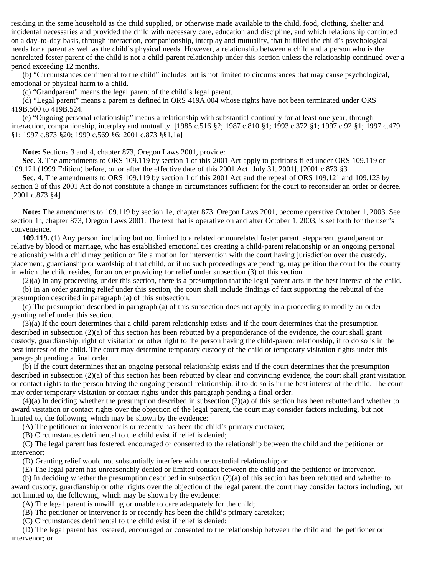residing in the same household as the child supplied, or otherwise made available to the child, food, clothing, shelter and incidental necessaries and provided the child with necessary care, education and discipline, and which relationship continued on a day-to-day basis, through interaction, companionship, interplay and mutuality, that fulfilled the child's psychological needs for a parent as well as the child's physical needs. However, a relationship between a child and a person who is the nonrelated foster parent of the child is not a child-parent relationship under this section unless the relationship continued over a period exceeding 12 months.

 (b) "Circumstances detrimental to the child" includes but is not limited to circumstances that may cause psychological, emotional or physical harm to a child.

(c) "Grandparent" means the legal parent of the child's legal parent.

 (d) "Legal parent" means a parent as defined in ORS 419A.004 whose rights have not been terminated under ORS 419B.500 to 419B.524.

 (e) "Ongoing personal relationship" means a relationship with substantial continuity for at least one year, through interaction, companionship, interplay and mutuality. [1985 c.516 §2; 1987 c.810 §1; 1993 c.372 §1; 1997 c.92 §1; 1997 c.479 §1; 1997 c.873 §20; 1999 c.569 §6; 2001 c.873 §§1,1a]

 **Note:** Sections 3 and 4, chapter 873, Oregon Laws 2001, provide:

 **Sec. 3.** The amendments to ORS 109.119 by section 1 of this 2001 Act apply to petitions filed under ORS 109.119 or 109.121 (1999 Edition) before, on or after the effective date of this 2001 Act [July 31, 2001]. [2001 c.873 §3]

 **Sec. 4.** The amendments to ORS 109.119 by section 1 of this 2001 Act and the repeal of ORS 109.121 and 109.123 by section 2 of this 2001 Act do not constitute a change in circumstances sufficient for the court to reconsider an order or decree. [2001 c.873 §4]

 **Note:** The amendments to 109.119 by section 1e, chapter 873, Oregon Laws 2001, become operative October 1, 2003. See section 1f, chapter 873, Oregon Laws 2001. The text that is operative on and after October 1, 2003, is set forth for the user's convenience.

 **109.119.** (1) Any person, including but not limited to a related or nonrelated foster parent, stepparent, grandparent or relative by blood or marriage, who has established emotional ties creating a child-parent relationship or an ongoing personal relationship with a child may petition or file a motion for intervention with the court having jurisdiction over the custody, placement, guardianship or wardship of that child, or if no such proceedings are pending, may petition the court for the county in which the child resides, for an order providing for relief under subsection (3) of this section.

(2)(a) In any proceeding under this section, there is a presumption that the legal parent acts in the best interest of the child.

 (b) In an order granting relief under this section, the court shall include findings of fact supporting the rebuttal of the presumption described in paragraph (a) of this subsection.

 (c) The presumption described in paragraph (a) of this subsection does not apply in a proceeding to modify an order granting relief under this section.

 (3)(a) If the court determines that a child-parent relationship exists and if the court determines that the presumption described in subsection (2)(a) of this section has been rebutted by a preponderance of the evidence, the court shall grant custody, guardianship, right of visitation or other right to the person having the child-parent relationship, if to do so is in the best interest of the child. The court may determine temporary custody of the child or temporary visitation rights under this paragraph pending a final order.

 (b) If the court determines that an ongoing personal relationship exists and if the court determines that the presumption described in subsection (2)(a) of this section has been rebutted by clear and convincing evidence, the court shall grant visitation or contact rights to the person having the ongoing personal relationship, if to do so is in the best interest of the child. The court may order temporary visitation or contact rights under this paragraph pending a final order.

 (4)(a) In deciding whether the presumption described in subsection (2)(a) of this section has been rebutted and whether to award visitation or contact rights over the objection of the legal parent, the court may consider factors including, but not limited to, the following, which may be shown by the evidence:

(A) The petitioner or intervenor is or recently has been the child's primary caretaker;

(B) Circumstances detrimental to the child exist if relief is denied;

 (C) The legal parent has fostered, encouraged or consented to the relationship between the child and the petitioner or intervenor;

(D) Granting relief would not substantially interfere with the custodial relationship; or

(E) The legal parent has unreasonably denied or limited contact between the child and the petitioner or intervenor.

(b) In deciding whether the presumption described in subsection (2)(a) of this section has been rebutted and whether to

award custody, guardianship or other rights over the objection of the legal parent, the court may consider factors including, but not limited to, the following, which may be shown by the evidence:

(A) The legal parent is unwilling or unable to care adequately for the child;

(B) The petitioner or intervenor is or recently has been the child's primary caretaker;

(C) Circumstances detrimental to the child exist if relief is denied;

 (D) The legal parent has fostered, encouraged or consented to the relationship between the child and the petitioner or intervenor; or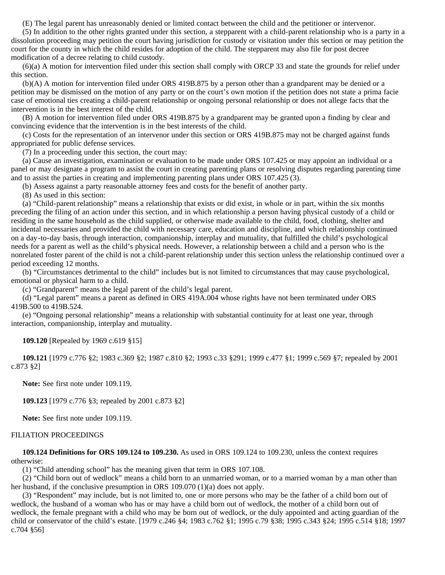(E) The legal parent has unreasonably denied or limited contact between the child and the petitioner or intervenor.

 (5) In addition to the other rights granted under this section, a stepparent with a child-parent relationship who is a party in a dissolution proceeding may petition the court having jurisdiction for custody or visitation under this section or may petition the court for the county in which the child resides for adoption of the child. The stepparent may also file for post decree modification of a decree relating to child custody.

 (6)(a) A motion for intervention filed under this section shall comply with ORCP 33 and state the grounds for relief under this section.

 (b)(A) A motion for intervention filed under ORS 419B.875 by a person other than a grandparent may be denied or a petition may be dismissed on the motion of any party or on the court's own motion if the petition does not state a prima facie case of emotional ties creating a child-parent relationship or ongoing personal relationship or does not allege facts that the intervention is in the best interest of the child.

 (B) A motion for intervention filed under ORS 419B.875 by a grandparent may be granted upon a finding by clear and convincing evidence that the intervention is in the best interests of the child.

 (c) Costs for the representation of an intervenor under this section or ORS 419B.875 may not be charged against funds appropriated for public defense services.

(7) In a proceeding under this section, the court may:

 (a) Cause an investigation, examination or evaluation to be made under ORS 107.425 or may appoint an individual or a panel or may designate a program to assist the court in creating parenting plans or resolving disputes regarding parenting time and to assist the parties in creating and implementing parenting plans under ORS 107.425 (3).

(b) Assess against a party reasonable attorney fees and costs for the benefit of another party.

(8) As used in this section:

 (a) "Child-parent relationship" means a relationship that exists or did exist, in whole or in part, within the six months preceding the filing of an action under this section, and in which relationship a person having physical custody of a child or residing in the same household as the child supplied, or otherwise made available to the child, food, clothing, shelter and incidental necessaries and provided the child with necessary care, education and discipline, and which relationship continued on a day-to-day basis, through interaction, companionship, interplay and mutuality, that fulfilled the child's psychological needs for a parent as well as the child's physical needs. However, a relationship between a child and a person who is the nonrelated foster parent of the child is not a child-parent relationship under this section unless the relationship continued over a period exceeding 12 months.

 (b) "Circumstances detrimental to the child" includes but is not limited to circumstances that may cause psychological, emotional or physical harm to a child.

(c) "Grandparent" means the legal parent of the child's legal parent.

 (d) "Legal parent" means a parent as defined in ORS 419A.004 whose rights have not been terminated under ORS 419B.500 to 419B.524.

 (e) "Ongoing personal relationship" means a relationship with substantial continuity for at least one year, through interaction, companionship, interplay and mutuality.

#### **109.120** [Repealed by 1969 c.619 §15]

 **109.121** [1979 c.776 §2; 1983 c.369 §2; 1987 c.810 §2; 1993 c.33 §291; 1999 c.477 §1; 1999 c.569 §7; repealed by 2001 c.873 §2]

 **Note:** See first note under 109.119.

 **109.123** [1979 c.776 §3; repealed by 2001 c.873 §2]

 **Note:** See first note under 109.119.

#### FILIATION PROCEEDINGS

 **109.124 Definitions for ORS 109.124 to 109.230.** As used in ORS 109.124 to 109.230, unless the context requires otherwise:

(1) "Child attending school" has the meaning given that term in ORS 107.108.

 (2) "Child born out of wedlock" means a child born to an unmarried woman, or to a married woman by a man other than her husband, if the conclusive presumption in ORS 109.070 (1)(a) does not apply.

 (3) "Respondent" may include, but is not limited to, one or more persons who may be the father of a child born out of wedlock, the husband of a woman who has or may have a child born out of wedlock, the mother of a child born out of wedlock, the female pregnant with a child who may be born out of wedlock, or the duly appointed and acting guardian of the child or conservator of the child's estate. [1979 c.246 §4; 1983 c.762 §1; 1995 c.79 §38; 1995 c.343 §24; 1995 c.514 §18; 1997 c.704 §56]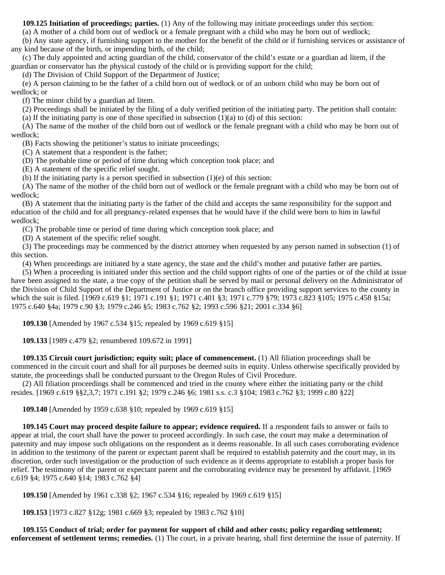**109.125 Initiation of proceedings; parties.** (1) Any of the following may initiate proceedings under this section:

(a) A mother of a child born out of wedlock or a female pregnant with a child who may be born out of wedlock;

 (b) Any state agency, if furnishing support to the mother for the benefit of the child or if furnishing services or assistance of any kind because of the birth, or impending birth, of the child;

 (c) The duly appointed and acting guardian of the child, conservator of the child's estate or a guardian ad litem, if the guardian or conservator has the physical custody of the child or is providing support for the child;

(d) The Division of Child Support of the Department of Justice;

 (e) A person claiming to be the father of a child born out of wedlock or of an unborn child who may be born out of wedlock; or

(f) The minor child by a guardian ad litem.

(2) Proceedings shall be initiated by the filing of a duly verified petition of the initiating party. The petition shall contain:

(a) If the initiating party is one of those specified in subsection  $(1)(a)$  to (d) of this section:

 (A) The name of the mother of the child born out of wedlock or the female pregnant with a child who may be born out of wedlock;

(B) Facts showing the petitioner's status to initiate proceedings;

(C) A statement that a respondent is the father;

(D) The probable time or period of time during which conception took place; and

(E) A statement of the specific relief sought.

(b) If the initiating party is a person specified in subsection (1)(e) of this section:

 (A) The name of the mother of the child born out of wedlock or the female pregnant with a child who may be born out of wedlock;

 (B) A statement that the initiating party is the father of the child and accepts the same responsibility for the support and education of the child and for all pregnancy-related expenses that he would have if the child were born to him in lawful wedlock;

(C) The probable time or period of time during which conception took place; and

(D) A statement of the specific relief sought.

 (3) The proceedings may be commenced by the district attorney when requested by any person named in subsection (1) of this section.

(4) When proceedings are initiated by a state agency, the state and the child's mother and putative father are parties.

 (5) When a proceeding is initiated under this section and the child support rights of one of the parties or of the child at issue have been assigned to the state, a true copy of the petition shall be served by mail or personal delivery on the Administrator of the Division of Child Support of the Department of Justice or on the branch office providing support services to the county in which the suit is filed. [1969 c.619 §1; 1971 c.191 §1; 1971 c.401 §3; 1971 c.779 §79; 1973 c.823 §105; 1975 c.458 §15a; 1975 c.640 §4a; 1979 c.90 §3; 1979 c.246 §5; 1983 c.762 §2; 1993 c.596 §21; 2001 c.334 §6]

 **109.130** [Amended by 1967 c.534 §15; repealed by 1969 c.619 §15]

 **109.133** [1989 c.479 §2; renumbered 109.672 in 1991]

 **109.135 Circuit court jurisdiction; equity suit; place of commencement.** (1) All filiation proceedings shall be commenced in the circuit court and shall for all purposes be deemed suits in equity. Unless otherwise specifically provided by statute, the proceedings shall be conducted pursuant to the Oregon Rules of Civil Procedure.

 (2) All filiation proceedings shall be commenced and tried in the county where either the initiating party or the child resides. [1969 c.619 §§2,3,7; 1971 c.191 §2; 1979 c.246 §6; 1981 s.s. c.3 §104; 1983 c.762 §3; 1999 c.80 §22]

 **109.140** [Amended by 1959 c.638 §10; repealed by 1969 c.619 §15]

 **109.145 Court may proceed despite failure to appear; evidence required.** If a respondent fails to answer or fails to appear at trial, the court shall have the power to proceed accordingly. In such case, the court may make a determination of paternity and may impose such obligations on the respondent as it deems reasonable. In all such cases corroborating evidence in addition to the testimony of the parent or expectant parent shall be required to establish paternity and the court may, in its discretion, order such investigation or the production of such evidence as it deems appropriate to establish a proper basis for relief. The testimony of the parent or expectant parent and the corroborating evidence may be presented by affidavit. [1969 c.619 §4; 1975 c.640 §14; 1983 c.762 §4]

 **109.150** [Amended by 1961 c.338 §2; 1967 c.534 §16; repealed by 1969 c.619 §15]

 **109.153** [1973 c.827 §12g; 1981 c.669 §3; repealed by 1983 c.762 §10]

 **109.155 Conduct of trial; order for payment for support of child and other costs; policy regarding settlement; enforcement of settlement terms; remedies.** (1) The court, in a private hearing, shall first determine the issue of paternity. If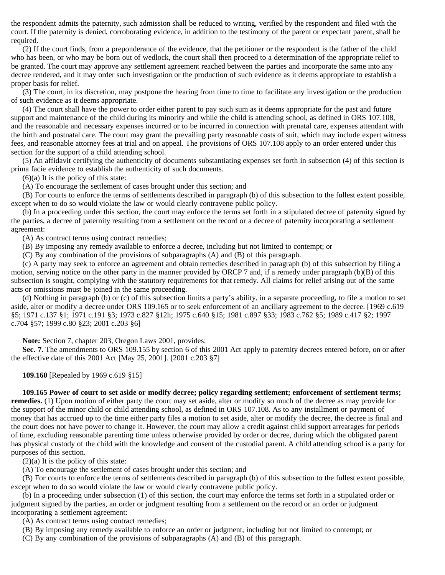the respondent admits the paternity, such admission shall be reduced to writing, verified by the respondent and filed with the court. If the paternity is denied, corroborating evidence, in addition to the testimony of the parent or expectant parent, shall be required.

 (2) If the court finds, from a preponderance of the evidence, that the petitioner or the respondent is the father of the child who has been, or who may be born out of wedlock, the court shall then proceed to a determination of the appropriate relief to be granted. The court may approve any settlement agreement reached between the parties and incorporate the same into any decree rendered, and it may order such investigation or the production of such evidence as it deems appropriate to establish a proper basis for relief.

 (3) The court, in its discretion, may postpone the hearing from time to time to facilitate any investigation or the production of such evidence as it deems appropriate.

 (4) The court shall have the power to order either parent to pay such sum as it deems appropriate for the past and future support and maintenance of the child during its minority and while the child is attending school, as defined in ORS 107.108, and the reasonable and necessary expenses incurred or to be incurred in connection with prenatal care, expenses attendant with the birth and postnatal care. The court may grant the prevailing party reasonable costs of suit, which may include expert witness fees, and reasonable attorney fees at trial and on appeal. The provisions of ORS 107.108 apply to an order entered under this section for the support of a child attending school.

 (5) An affidavit certifying the authenticity of documents substantiating expenses set forth in subsection (4) of this section is prima facie evidence to establish the authenticity of such documents.

 $(6)(a)$  It is the policy of this state:

(A) To encourage the settlement of cases brought under this section; and

 (B) For courts to enforce the terms of settlements described in paragraph (b) of this subsection to the fullest extent possible, except when to do so would violate the law or would clearly contravene public policy.

 (b) In a proceeding under this section, the court may enforce the terms set forth in a stipulated decree of paternity signed by the parties, a decree of paternity resulting from a settlement on the record or a decree of paternity incorporating a settlement agreement:

(A) As contract terms using contract remedies;

(B) By imposing any remedy available to enforce a decree, including but not limited to contempt; or

(C) By any combination of the provisions of subparagraphs (A) and (B) of this paragraph.

 (c) A party may seek to enforce an agreement and obtain remedies described in paragraph (b) of this subsection by filing a motion, serving notice on the other party in the manner provided by ORCP 7 and, if a remedy under paragraph (b)(B) of this subsection is sought, complying with the statutory requirements for that remedy. All claims for relief arising out of the same acts or omissions must be joined in the same proceeding.

 (d) Nothing in paragraph (b) or (c) of this subsection limits a party's ability, in a separate proceeding, to file a motion to set aside, alter or modify a decree under ORS 109.165 or to seek enforcement of an ancillary agreement to the decree. [1969 c.619 §5; 1971 c.137 §1; 1971 c.191 §3; 1973 c.827 §12h; 1975 c.640 §15; 1981 c.897 §33; 1983 c.762 §5; 1989 c.417 §2; 1997 c.704 §57; 1999 c.80 §23; 2001 c.203 §6]

 **Note:** Section 7, chapter 203, Oregon Laws 2001, provides:

 **Sec. 7.** The amendments to ORS 109.155 by section 6 of this 2001 Act apply to paternity decrees entered before, on or after the effective date of this 2001 Act [May 25, 2001]. [2001 c.203 §7]

### **109.160** [Repealed by 1969 c.619 §15]

 **109.165 Power of court to set aside or modify decree; policy regarding settlement; enforcement of settlement terms;**

**remedies.** (1) Upon motion of either party the court may set aside, alter or modify so much of the decree as may provide for the support of the minor child or child attending school, as defined in ORS 107.108. As to any installment or payment of money that has accrued up to the time either party files a motion to set aside, alter or modify the decree, the decree is final and the court does not have power to change it. However, the court may allow a credit against child support arrearages for periods of time, excluding reasonable parenting time unless otherwise provided by order or decree, during which the obligated parent has physical custody of the child with the knowledge and consent of the custodial parent. A child attending school is a party for purposes of this section.

 $(2)(a)$  It is the policy of this state:

(A) To encourage the settlement of cases brought under this section; and

 (B) For courts to enforce the terms of settlements described in paragraph (b) of this subsection to the fullest extent possible, except when to do so would violate the law or would clearly contravene public policy.

 (b) In a proceeding under subsection (1) of this section, the court may enforce the terms set forth in a stipulated order or judgment signed by the parties, an order or judgment resulting from a settlement on the record or an order or judgment incorporating a settlement agreement:

(A) As contract terms using contract remedies;

(B) By imposing any remedy available to enforce an order or judgment, including but not limited to contempt; or

(C) By any combination of the provisions of subparagraphs (A) and (B) of this paragraph.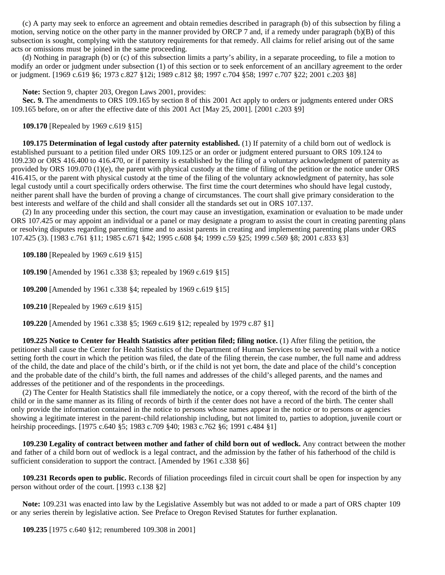(c) A party may seek to enforce an agreement and obtain remedies described in paragraph (b) of this subsection by filing a motion, serving notice on the other party in the manner provided by ORCP 7 and, if a remedy under paragraph (b)(B) of this subsection is sought, complying with the statutory requirements for that remedy. All claims for relief arising out of the same acts or omissions must be joined in the same proceeding.

 (d) Nothing in paragraph (b) or (c) of this subsection limits a party's ability, in a separate proceeding, to file a motion to modify an order or judgment under subsection (1) of this section or to seek enforcement of an ancillary agreement to the order or judgment. [1969 c.619 §6; 1973 c.827 §12i; 1989 c.812 §8; 1997 c.704 §58; 1997 c.707 §22; 2001 c.203 §8]

 **Note:** Section 9, chapter 203, Oregon Laws 2001, provides:

 **Sec. 9.** The amendments to ORS 109.165 by section 8 of this 2001 Act apply to orders or judgments entered under ORS 109.165 before, on or after the effective date of this 2001 Act [May 25, 2001]. [2001 c.203 §9]

 **109.170** [Repealed by 1969 c.619 §15]

 **109.175 Determination of legal custody after paternity established.** (1) If paternity of a child born out of wedlock is established pursuant to a petition filed under ORS 109.125 or an order or judgment entered pursuant to ORS 109.124 to 109.230 or ORS 416.400 to 416.470, or if paternity is established by the filing of a voluntary acknowledgment of paternity as provided by ORS 109.070 (1)(e), the parent with physical custody at the time of filing of the petition or the notice under ORS 416.415, or the parent with physical custody at the time of the filing of the voluntary acknowledgment of paternity, has sole legal custody until a court specifically orders otherwise. The first time the court determines who should have legal custody, neither parent shall have the burden of proving a change of circumstances. The court shall give primary consideration to the best interests and welfare of the child and shall consider all the standards set out in ORS 107.137.

 (2) In any proceeding under this section, the court may cause an investigation, examination or evaluation to be made under ORS 107.425 or may appoint an individual or a panel or may designate a program to assist the court in creating parenting plans or resolving disputes regarding parenting time and to assist parents in creating and implementing parenting plans under ORS 107.425 (3). [1983 c.761 §11; 1985 c.671 §42; 1995 c.608 §4; 1999 c.59 §25; 1999 c.569 §8; 2001 c.833 §3]

 **109.180** [Repealed by 1969 c.619 §15]

 **109.190** [Amended by 1961 c.338 §3; repealed by 1969 c.619 §15]

 **109.200** [Amended by 1961 c.338 §4; repealed by 1969 c.619 §15]

 **109.210** [Repealed by 1969 c.619 §15]

 **109.220** [Amended by 1961 c.338 §5; 1969 c.619 §12; repealed by 1979 c.87 §1]

 **109.225 Notice to Center for Health Statistics after petition filed; filing notice.** (1) After filing the petition, the petitioner shall cause the Center for Health Statistics of the Department of Human Services to be served by mail with a notice setting forth the court in which the petition was filed, the date of the filing therein, the case number, the full name and address of the child, the date and place of the child's birth, or if the child is not yet born, the date and place of the child's conception and the probable date of the child's birth, the full names and addresses of the child's alleged parents, and the names and addresses of the petitioner and of the respondents in the proceedings.

 (2) The Center for Health Statistics shall file immediately the notice, or a copy thereof, with the record of the birth of the child or in the same manner as its filing of records of birth if the center does not have a record of the birth. The center shall only provide the information contained in the notice to persons whose names appear in the notice or to persons or agencies showing a legitimate interest in the parent-child relationship including, but not limited to, parties to adoption, juvenile court or heirship proceedings. [1975 c.640 §5; 1983 c.709 §40; 1983 c.762 §6; 1991 c.484 §1]

 **109.230 Legality of contract between mother and father of child born out of wedlock.** Any contract between the mother and father of a child born out of wedlock is a legal contract, and the admission by the father of his fatherhood of the child is sufficient consideration to support the contract. [Amended by 1961 c.338 §6]

 **109.231 Records open to public.** Records of filiation proceedings filed in circuit court shall be open for inspection by any person without order of the court. [1993 c.138 §2]

 **Note:** 109.231 was enacted into law by the Legislative Assembly but was not added to or made a part of ORS chapter 109 or any series therein by legislative action. See Preface to Oregon Revised Statutes for further explanation.

 **109.235** [1975 c.640 §12; renumbered 109.308 in 2001]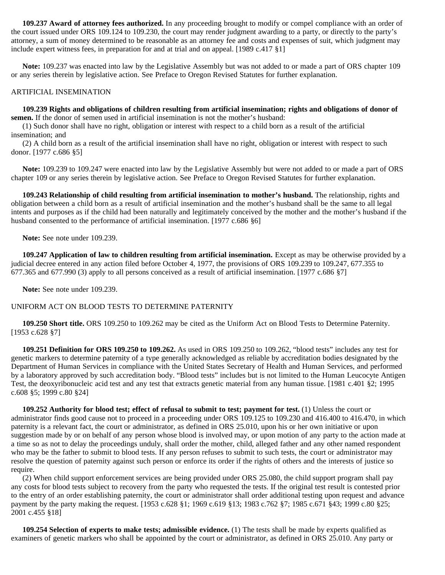**109.237 Award of attorney fees authorized.** In any proceeding brought to modify or compel compliance with an order of the court issued under ORS 109.124 to 109.230, the court may render judgment awarding to a party, or directly to the party's attorney, a sum of money determined to be reasonable as an attorney fee and costs and expenses of suit, which judgment may include expert witness fees, in preparation for and at trial and on appeal. [1989 c.417 §1]

 **Note:** 109.237 was enacted into law by the Legislative Assembly but was not added to or made a part of ORS chapter 109 or any series therein by legislative action. See Preface to Oregon Revised Statutes for further explanation.

## ARTIFICIAL INSEMINATION

### **109.239 Rights and obligations of children resulting from artificial insemination; rights and obligations of donor of semen.** If the donor of semen used in artificial insemination is not the mother's husband:

 (1) Such donor shall have no right, obligation or interest with respect to a child born as a result of the artificial insemination; and

 (2) A child born as a result of the artificial insemination shall have no right, obligation or interest with respect to such donor. [1977 c.686 §5]

 **Note:** 109.239 to 109.247 were enacted into law by the Legislative Assembly but were not added to or made a part of ORS chapter 109 or any series therein by legislative action. See Preface to Oregon Revised Statutes for further explanation.

 **109.243 Relationship of child resulting from artificial insemination to mother's husband.** The relationship, rights and obligation between a child born as a result of artificial insemination and the mother's husband shall be the same to all legal intents and purposes as if the child had been naturally and legitimately conceived by the mother and the mother's husband if the husband consented to the performance of artificial insemination. [1977 c.686 §6]

 **Note:** See note under 109.239.

 **109.247 Application of law to children resulting from artificial insemination.** Except as may be otherwise provided by a judicial decree entered in any action filed before October 4, 1977, the provisions of ORS 109.239 to 109.247, 677.355 to 677.365 and 677.990 (3) apply to all persons conceived as a result of artificial insemination. [1977 c.686 §7]

 **Note:** See note under 109.239.

## UNIFORM ACT ON BLOOD TESTS TO DETERMINE PATERNITY

 **109.250 Short title.** ORS 109.250 to 109.262 may be cited as the Uniform Act on Blood Tests to Determine Paternity. [1953 c.628 §7]

 **109.251 Definition for ORS 109.250 to 109.262.** As used in ORS 109.250 to 109.262, "blood tests" includes any test for genetic markers to determine paternity of a type generally acknowledged as reliable by accreditation bodies designated by the Department of Human Services in compliance with the United States Secretary of Health and Human Services, and performed by a laboratory approved by such accreditation body. "Blood tests" includes but is not limited to the Human Leucocyte Antigen Test, the deoxyribonucleic acid test and any test that extracts genetic material from any human tissue. [1981 c.401 §2; 1995 c.608 §5; 1999 c.80 §24]

 **109.252 Authority for blood test; effect of refusal to submit to test; payment for test.** (1) Unless the court or administrator finds good cause not to proceed in a proceeding under ORS 109.125 to 109.230 and 416.400 to 416.470, in which paternity is a relevant fact, the court or administrator, as defined in ORS 25.010, upon his or her own initiative or upon suggestion made by or on behalf of any person whose blood is involved may, or upon motion of any party to the action made at a time so as not to delay the proceedings unduly, shall order the mother, child, alleged father and any other named respondent who may be the father to submit to blood tests. If any person refuses to submit to such tests, the court or administrator may resolve the question of paternity against such person or enforce its order if the rights of others and the interests of justice so require.

 (2) When child support enforcement services are being provided under ORS 25.080, the child support program shall pay any costs for blood tests subject to recovery from the party who requested the tests. If the original test result is contested prior to the entry of an order establishing paternity, the court or administrator shall order additional testing upon request and advance payment by the party making the request. [1953 c.628 §1; 1969 c.619 §13; 1983 c.762 §7; 1985 c.671 §43; 1999 c.80 §25; 2001 c.455 §18]

 **109.254 Selection of experts to make tests; admissible evidence.** (1) The tests shall be made by experts qualified as examiners of genetic markers who shall be appointed by the court or administrator, as defined in ORS 25.010. Any party or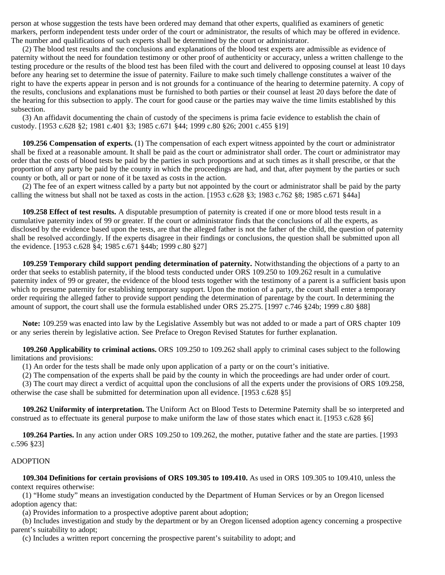person at whose suggestion the tests have been ordered may demand that other experts, qualified as examiners of genetic markers, perform independent tests under order of the court or administrator, the results of which may be offered in evidence. The number and qualifications of such experts shall be determined by the court or administrator.

 (2) The blood test results and the conclusions and explanations of the blood test experts are admissible as evidence of paternity without the need for foundation testimony or other proof of authenticity or accuracy, unless a written challenge to the testing procedure or the results of the blood test has been filed with the court and delivered to opposing counsel at least 10 days before any hearing set to determine the issue of paternity. Failure to make such timely challenge constitutes a waiver of the right to have the experts appear in person and is not grounds for a continuance of the hearing to determine paternity. A copy of the results, conclusions and explanations must be furnished to both parties or their counsel at least 20 days before the date of the hearing for this subsection to apply. The court for good cause or the parties may waive the time limits established by this subsection.

 (3) An affidavit documenting the chain of custody of the specimens is prima facie evidence to establish the chain of custody. [1953 c.628 §2; 1981 c.401 §3; 1985 c.671 §44; 1999 c.80 §26; 2001 c.455 §19]

 **109.256 Compensation of experts.** (1) The compensation of each expert witness appointed by the court or administrator shall be fixed at a reasonable amount. It shall be paid as the court or administrator shall order. The court or administrator may order that the costs of blood tests be paid by the parties in such proportions and at such times as it shall prescribe, or that the proportion of any party be paid by the county in which the proceedings are had, and that, after payment by the parties or such county or both, all or part or none of it be taxed as costs in the action.

 (2) The fee of an expert witness called by a party but not appointed by the court or administrator shall be paid by the party calling the witness but shall not be taxed as costs in the action. [1953 c.628 §3; 1983 c.762 §8; 1985 c.671 §44a]

 **109.258 Effect of test results.** A disputable presumption of paternity is created if one or more blood tests result in a cumulative paternity index of 99 or greater. If the court or administrator finds that the conclusions of all the experts, as disclosed by the evidence based upon the tests, are that the alleged father is not the father of the child, the question of paternity shall be resolved accordingly. If the experts disagree in their findings or conclusions, the question shall be submitted upon all the evidence. [1953 c.628 §4; 1985 c.671 §44b; 1999 c.80 §27]

 **109.259 Temporary child support pending determination of paternity.** Notwithstanding the objections of a party to an order that seeks to establish paternity, if the blood tests conducted under ORS 109.250 to 109.262 result in a cumulative paternity index of 99 or greater, the evidence of the blood tests together with the testimony of a parent is a sufficient basis upon which to presume paternity for establishing temporary support. Upon the motion of a party, the court shall enter a temporary order requiring the alleged father to provide support pending the determination of parentage by the court. In determining the amount of support, the court shall use the formula established under ORS 25.275. [1997 c.746 §24b; 1999 c.80 §88]

 **Note:** 109.259 was enacted into law by the Legislative Assembly but was not added to or made a part of ORS chapter 109 or any series therein by legislative action. See Preface to Oregon Revised Statutes for further explanation.

 **109.260 Applicability to criminal actions.** ORS 109.250 to 109.262 shall apply to criminal cases subject to the following limitations and provisions:

(1) An order for the tests shall be made only upon application of a party or on the court's initiative.

(2) The compensation of the experts shall be paid by the county in which the proceedings are had under order of court.

 (3) The court may direct a verdict of acquittal upon the conclusions of all the experts under the provisions of ORS 109.258, otherwise the case shall be submitted for determination upon all evidence. [1953 c.628 §5]

 **109.262 Uniformity of interpretation.** The Uniform Act on Blood Tests to Determine Paternity shall be so interpreted and construed as to effectuate its general purpose to make uniform the law of those states which enact it. [1953 c.628 §6]

 **109.264 Parties.** In any action under ORS 109.250 to 109.262, the mother, putative father and the state are parties. [1993 c.596 §23]

#### ADOPTION

 **109.304 Definitions for certain provisions of ORS 109.305 to 109.410.** As used in ORS 109.305 to 109.410, unless the context requires otherwise:

 (1) "Home study" means an investigation conducted by the Department of Human Services or by an Oregon licensed adoption agency that:

(a) Provides information to a prospective adoptive parent about adoption;

 (b) Includes investigation and study by the department or by an Oregon licensed adoption agency concerning a prospective parent's suitability to adopt;

(c) Includes a written report concerning the prospective parent's suitability to adopt; and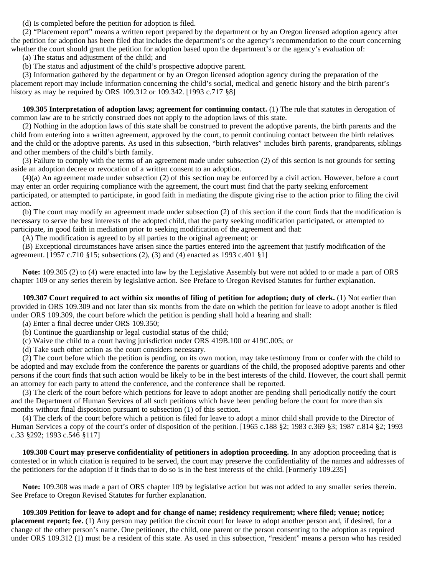(d) Is completed before the petition for adoption is filed.

 (2) "Placement report" means a written report prepared by the department or by an Oregon licensed adoption agency after the petition for adoption has been filed that includes the department's or the agency's recommendation to the court concerning whether the court should grant the petition for adoption based upon the department's or the agency's evaluation of:

(a) The status and adjustment of the child; and

(b) The status and adjustment of the child's prospective adoptive parent.

 (3) Information gathered by the department or by an Oregon licensed adoption agency during the preparation of the placement report may include information concerning the child's social, medical and genetic history and the birth parent's history as may be required by ORS 109.312 or 109.342. [1993 c.717 §8]

 **109.305 Interpretation of adoption laws; agreement for continuing contact.** (1) The rule that statutes in derogation of common law are to be strictly construed does not apply to the adoption laws of this state.

 (2) Nothing in the adoption laws of this state shall be construed to prevent the adoptive parents, the birth parents and the child from entering into a written agreement, approved by the court, to permit continuing contact between the birth relatives and the child or the adoptive parents. As used in this subsection, "birth relatives" includes birth parents, grandparents, siblings and other members of the child's birth family.

 (3) Failure to comply with the terms of an agreement made under subsection (2) of this section is not grounds for setting aside an adoption decree or revocation of a written consent to an adoption.

 (4)(a) An agreement made under subsection (2) of this section may be enforced by a civil action. However, before a court may enter an order requiring compliance with the agreement, the court must find that the party seeking enforcement participated, or attempted to participate, in good faith in mediating the dispute giving rise to the action prior to filing the civil action.

 (b) The court may modify an agreement made under subsection (2) of this section if the court finds that the modification is necessary to serve the best interests of the adopted child, that the party seeking modification participated, or attempted to participate, in good faith in mediation prior to seeking modification of the agreement and that:

(A) The modification is agreed to by all parties to the original agreement; or

 (B) Exceptional circumstances have arisen since the parties entered into the agreement that justify modification of the agreement. [1957 c.710 §15; subsections (2), (3) and (4) enacted as 1993 c.401 §1]

 **Note:** 109.305 (2) to (4) were enacted into law by the Legislative Assembly but were not added to or made a part of ORS chapter 109 or any series therein by legislative action. See Preface to Oregon Revised Statutes for further explanation.

 **109.307 Court required to act within six months of filing of petition for adoption; duty of clerk.** (1) Not earlier than provided in ORS 109.309 and not later than six months from the date on which the petition for leave to adopt another is filed under ORS 109.309, the court before which the petition is pending shall hold a hearing and shall:

(a) Enter a final decree under ORS 109.350;

(b) Continue the guardianship or legal custodial status of the child;

(c) Waive the child to a court having jurisdiction under ORS 419B.100 or 419C.005; or

(d) Take such other action as the court considers necessary.

 (2) The court before which the petition is pending, on its own motion, may take testimony from or confer with the child to be adopted and may exclude from the conference the parents or guardians of the child, the proposed adoptive parents and other persons if the court finds that such action would be likely to be in the best interests of the child. However, the court shall permit an attorney for each party to attend the conference, and the conference shall be reported.

 (3) The clerk of the court before which petitions for leave to adopt another are pending shall periodically notify the court and the Department of Human Services of all such petitions which have been pending before the court for more than six months without final disposition pursuant to subsection (1) of this section.

 (4) The clerk of the court before which a petition is filed for leave to adopt a minor child shall provide to the Director of Human Services a copy of the court's order of disposition of the petition. [1965 c.188 §2; 1983 c.369 §3; 1987 c.814 §2; 1993 c.33 §292; 1993 c.546 §117]

 **109.308 Court may preserve confidentiality of petitioners in adoption proceeding.** In any adoption proceeding that is contested or in which citation is required to be served, the court may preserve the confidentiality of the names and addresses of the petitioners for the adoption if it finds that to do so is in the best interests of the child. [Formerly 109.235]

 **Note:** 109.308 was made a part of ORS chapter 109 by legislative action but was not added to any smaller series therein. See Preface to Oregon Revised Statutes for further explanation.

 **109.309 Petition for leave to adopt and for change of name; residency requirement; where filed; venue; notice; placement report; fee.** (1) Any person may petition the circuit court for leave to adopt another person and, if desired, for a change of the other person's name. One petitioner, the child, one parent or the person consenting to the adoption as required under ORS 109.312 (1) must be a resident of this state. As used in this subsection, "resident" means a person who has resided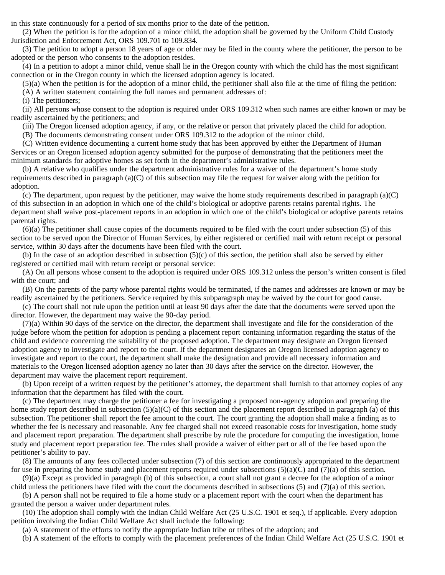in this state continuously for a period of six months prior to the date of the petition.

 (2) When the petition is for the adoption of a minor child, the adoption shall be governed by the Uniform Child Custody Jurisdiction and Enforcement Act, ORS 109.701 to 109.834.

 (3) The petition to adopt a person 18 years of age or older may be filed in the county where the petitioner, the person to be adopted or the person who consents to the adoption resides.

 (4) In a petition to adopt a minor child, venue shall lie in the Oregon county with which the child has the most significant connection or in the Oregon county in which the licensed adoption agency is located.

(5)(a) When the petition is for the adoption of a minor child, the petitioner shall also file at the time of filing the petition:

(A) A written statement containing the full names and permanent addresses of:

(i) The petitioners;

 (ii) All persons whose consent to the adoption is required under ORS 109.312 when such names are either known or may be readily ascertained by the petitioners; and

(iii) The Oregon licensed adoption agency, if any, or the relative or person that privately placed the child for adoption.

(B) The documents demonstrating consent under ORS 109.312 to the adoption of the minor child.

 (C) Written evidence documenting a current home study that has been approved by either the Department of Human Services or an Oregon licensed adoption agency submitted for the purpose of demonstrating that the petitioners meet the minimum standards for adoptive homes as set forth in the department's administrative rules.

 (b) A relative who qualifies under the department administrative rules for a waiver of the department's home study requirements described in paragraph (a)(C) of this subsection may file the request for waiver along with the petition for adoption.

(c) The department, upon request by the petitioner, may waive the home study requirements described in paragraph  $(a)(C)$ of this subsection in an adoption in which one of the child's biological or adoptive parents retains parental rights. The department shall waive post-placement reports in an adoption in which one of the child's biological or adoptive parents retains parental rights.

 (6)(a) The petitioner shall cause copies of the documents required to be filed with the court under subsection (5) of this section to be served upon the Director of Human Services, by either registered or certified mail with return receipt or personal service, within 30 days after the documents have been filed with the court.

 (b) In the case of an adoption described in subsection (5)(c) of this section, the petition shall also be served by either registered or certified mail with return receipt or personal service:

 (A) On all persons whose consent to the adoption is required under ORS 109.312 unless the person's written consent is filed with the court; and

 (B) On the parents of the party whose parental rights would be terminated, if the names and addresses are known or may be readily ascertained by the petitioners. Service required by this subparagraph may be waived by the court for good cause.

 (c) The court shall not rule upon the petition until at least 90 days after the date that the documents were served upon the director. However, the department may waive the 90-day period.

 (7)(a) Within 90 days of the service on the director, the department shall investigate and file for the consideration of the judge before whom the petition for adoption is pending a placement report containing information regarding the status of the child and evidence concerning the suitability of the proposed adoption. The department may designate an Oregon licensed adoption agency to investigate and report to the court. If the department designates an Oregon licensed adoption agency to investigate and report to the court, the department shall make the designation and provide all necessary information and materials to the Oregon licensed adoption agency no later than 30 days after the service on the director. However, the department may waive the placement report requirement.

 (b) Upon receipt of a written request by the petitioner's attorney, the department shall furnish to that attorney copies of any information that the department has filed with the court.

 (c) The department may charge the petitioner a fee for investigating a proposed non-agency adoption and preparing the home study report described in subsection  $(5)(a)(C)$  of this section and the placement report described in paragraph (a) of this subsection. The petitioner shall report the fee amount to the court. The court granting the adoption shall make a finding as to whether the fee is necessary and reasonable. Any fee charged shall not exceed reasonable costs for investigation, home study and placement report preparation. The department shall prescribe by rule the procedure for computing the investigation, home study and placement report preparation fee. The rules shall provide a waiver of either part or all of the fee based upon the petitioner's ability to pay.

 (8) The amounts of any fees collected under subsection (7) of this section are continuously appropriated to the department for use in preparing the home study and placement reports required under subsections  $(5)(a)(C)$  and  $(7)(a)$  of this section.

 (9)(a) Except as provided in paragraph (b) of this subsection, a court shall not grant a decree for the adoption of a minor child unless the petitioners have filed with the court the documents described in subsections (5) and (7)(a) of this section.

 (b) A person shall not be required to file a home study or a placement report with the court when the department has granted the person a waiver under department rules.

 (10) The adoption shall comply with the Indian Child Welfare Act (25 U.S.C. 1901 et seq.), if applicable. Every adoption petition involving the Indian Child Welfare Act shall include the following:

(a) A statement of the efforts to notify the appropriate Indian tribe or tribes of the adoption; and

(b) A statement of the efforts to comply with the placement preferences of the Indian Child Welfare Act (25 U.S.C. 1901 et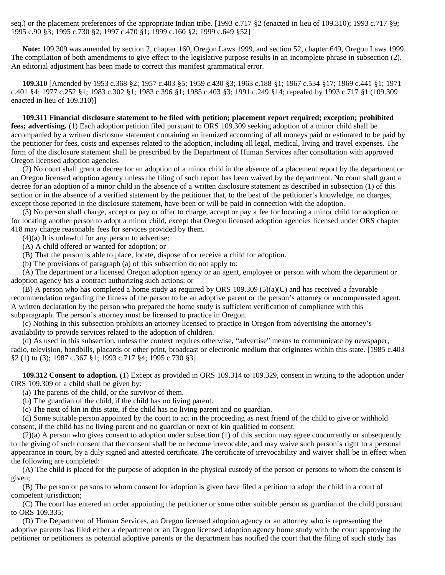seq.) or the placement preferences of the appropriate Indian tribe. [1993 c.717 §2 (enacted in lieu of 109.310); 1993 c.717 §9; 1995 c.90 §3; 1995 c.730 §2; 1997 c.470 §1; 1999 c.160 §2; 1999 c.649 §52]

 **Note:** 109.309 was amended by section 2, chapter 160, Oregon Laws 1999, and section 52, chapter 649, Oregon Laws 1999. The compilation of both amendments to give effect to the legislative purpose results in an incomplete phrase in subsection (2). An editorial adjustment has been made to correct this manifest grammatical error.

 **109.310** [Amended by 1953 c.368 §2; 1957 c.403 §5; 1959 c.430 §3; 1963 c.188 §1; 1967 c.534 §17; 1969 c.441 §1; 1971 c.401 §4; 1977 c.252 §1; 1983 c.302 §1; 1983 c.396 §1; 1985 c.403 §3; 1991 c.249 §14; repealed by 1993 c.717 §1 (109.309 enacted in lieu of 109.310)]

 **109.311 Financial disclosure statement to be filed with petition; placement report required; exception; prohibited fees; advertising.** (1) Each adoption petition filed pursuant to ORS 109.309 seeking adoption of a minor child shall be accompanied by a written disclosure statement containing an itemized accounting of all moneys paid or estimated to be paid by the petitioner for fees, costs and expenses related to the adoption, including all legal, medical, living and travel expenses. The form of the disclosure statement shall be prescribed by the Department of Human Services after consultation with approved Oregon licensed adoption agencies.

 (2) No court shall grant a decree for an adoption of a minor child in the absence of a placement report by the department or an Oregon licensed adoption agency unless the filing of such report has been waived by the department. No court shall grant a decree for an adoption of a minor child in the absence of a written disclosure statement as described in subsection (1) of this section or in the absence of a verified statement by the petitioner that, to the best of the petitioner's knowledge, no charges, except those reported in the disclosure statement, have been or will be paid in connection with the adoption.

 (3) No person shall charge, accept or pay or offer to charge, accept or pay a fee for locating a minor child for adoption or for locating another person to adopt a minor child, except that Oregon licensed adoption agencies licensed under ORS chapter 418 may charge reasonable fees for services provided by them.

 $(4)(a)$  It is unlawful for any person to advertise:

(A) A child offered or wanted for adoption; or

(B) That the person is able to place, locate, dispose of or receive a child for adoption.

(b) The provisions of paragraph (a) of this subsection do not apply to:

 (A) The department or a licensed Oregon adoption agency or an agent, employee or person with whom the department or adoption agency has a contract authorizing such actions; or

 (B) A person who has completed a home study as required by ORS 109.309 (5)(a)(C) and has received a favorable recommendation regarding the fitness of the person to be an adoptive parent or the person's attorney or uncompensated agent. A written declaration by the person who prepared the home study is sufficient verification of compliance with this subparagraph. The person's attorney must be licensed to practice in Oregon.

 (c) Nothing in this subsection prohibits an attorney licensed to practice in Oregon from advertising the attorney's availability to provide services related to the adoption of children.

 (d) As used in this subsection, unless the context requires otherwise, "advertise" means to communicate by newspaper, radio, television, handbills, placards or other print, broadcast or electronic medium that originates within this state. [1985 c.403 §2 (1) to (3); 1987 c.367 §1; 1993 c.717 §4; 1995 c.730 §3]

 **109.312 Consent to adoption.** (1) Except as provided in ORS 109.314 to 109.329, consent in writing to the adoption under ORS 109.309 of a child shall be given by:

(a) The parents of the child, or the survivor of them.

(b) The guardian of the child, if the child has no living parent.

(c) The next of kin in this state, if the child has no living parent and no guardian.

 (d) Some suitable person appointed by the court to act in the proceeding as next friend of the child to give or withhold consent, if the child has no living parent and no guardian or next of kin qualified to consent.

 $(2)(a)$  A person who gives consent to adoption under subsection (1) of this section may agree concurrently or subsequently to the giving of such consent that the consent shall be or become irrevocable, and may waive such person's right to a personal appearance in court, by a duly signed and attested certificate. The certificate of irrevocability and waiver shall be in effect when the following are completed:

 (A) The child is placed for the purpose of adoption in the physical custody of the person or persons to whom the consent is given;

 (B) The person or persons to whom consent for adoption is given have filed a petition to adopt the child in a court of competent jurisdiction;

 (C) The court has entered an order appointing the petitioner or some other suitable person as guardian of the child pursuant to ORS 109.335;

 (D) The Department of Human Services, an Oregon licensed adoption agency or an attorney who is representing the adoptive parents has filed either a department or an Oregon licensed adoption agency home study with the court approving the petitioner or petitioners as potential adoptive parents or the department has notified the court that the filing of such study has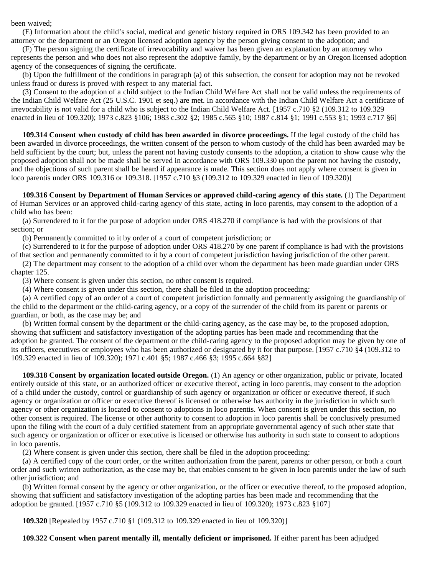been waived;

 (E) Information about the child's social, medical and genetic history required in ORS 109.342 has been provided to an attorney or the department or an Oregon licensed adoption agency by the person giving consent to the adoption; and

 (F) The person signing the certificate of irrevocability and waiver has been given an explanation by an attorney who represents the person and who does not also represent the adoptive family, by the department or by an Oregon licensed adoption agency of the consequences of signing the certificate.

 (b) Upon the fulfillment of the conditions in paragraph (a) of this subsection, the consent for adoption may not be revoked unless fraud or duress is proved with respect to any material fact.

 (3) Consent to the adoption of a child subject to the Indian Child Welfare Act shall not be valid unless the requirements of the Indian Child Welfare Act (25 U.S.C. 1901 et seq.) are met. In accordance with the Indian Child Welfare Act a certificate of irrevocability is not valid for a child who is subject to the Indian Child Welfare Act. [1957 c.710 §2 (109.312 to 109.329 enacted in lieu of 109.320); 1973 c.823 §106; 1983 c.302 §2; 1985 c.565 §10; 1987 c.814 §1; 1991 c.553 §1; 1993 c.717 §6]

 **109.314 Consent when custody of child has been awarded in divorce proceedings.** If the legal custody of the child has been awarded in divorce proceedings, the written consent of the person to whom custody of the child has been awarded may be held sufficient by the court; but, unless the parent not having custody consents to the adoption, a citation to show cause why the proposed adoption shall not be made shall be served in accordance with ORS 109.330 upon the parent not having the custody, and the objections of such parent shall be heard if appearance is made. This section does not apply where consent is given in loco parentis under ORS 109.316 or 109.318. [1957 c.710 §3 (109.312 to 109.329 enacted in lieu of 109.320)]

 **109.316 Consent by Department of Human Services or approved child-caring agency of this state.** (1) The Department of Human Services or an approved child-caring agency of this state, acting in loco parentis, may consent to the adoption of a child who has been:

 (a) Surrendered to it for the purpose of adoption under ORS 418.270 if compliance is had with the provisions of that section; or

(b) Permanently committed to it by order of a court of competent jurisdiction; or

 (c) Surrendered to it for the purpose of adoption under ORS 418.270 by one parent if compliance is had with the provisions of that section and permanently committed to it by a court of competent jurisdiction having jurisdiction of the other parent.

 (2) The department may consent to the adoption of a child over whom the department has been made guardian under ORS chapter 125.

(3) Where consent is given under this section, no other consent is required.

(4) Where consent is given under this section, there shall be filed in the adoption proceeding:

 (a) A certified copy of an order of a court of competent jurisdiction formally and permanently assigning the guardianship of the child to the department or the child-caring agency, or a copy of the surrender of the child from its parent or parents or guardian, or both, as the case may be; and

 (b) Written formal consent by the department or the child-caring agency, as the case may be, to the proposed adoption, showing that sufficient and satisfactory investigation of the adopting parties has been made and recommending that the adoption be granted. The consent of the department or the child-caring agency to the proposed adoption may be given by one of its officers, executives or employees who has been authorized or designated by it for that purpose. [1957 c.710 §4 (109.312 to 109.329 enacted in lieu of 109.320); 1971 c.401 §5; 1987 c.466 §3; 1995 c.664 §82]

 **109.318 Consent by organization located outside Oregon.** (1) An agency or other organization, public or private, located entirely outside of this state, or an authorized officer or executive thereof, acting in loco parentis, may consent to the adoption of a child under the custody, control or guardianship of such agency or organization or officer or executive thereof, if such agency or organization or officer or executive thereof is licensed or otherwise has authority in the jurisdiction in which such agency or other organization is located to consent to adoptions in loco parentis. When consent is given under this section, no other consent is required. The license or other authority to consent to adoption in loco parentis shall be conclusively presumed upon the filing with the court of a duly certified statement from an appropriate governmental agency of such other state that such agency or organization or officer or executive is licensed or otherwise has authority in such state to consent to adoptions in loco parentis.

(2) Where consent is given under this section, there shall be filed in the adoption proceeding:

 (a) A certified copy of the court order, or the written authorization from the parent, parents or other person, or both a court order and such written authorization, as the case may be, that enables consent to be given in loco parentis under the law of such other jurisdiction; and

 (b) Written formal consent by the agency or other organization, or the officer or executive thereof, to the proposed adoption, showing that sufficient and satisfactory investigation of the adopting parties has been made and recommending that the adoption be granted. [1957 c.710 §5 (109.312 to 109.329 enacted in lieu of 109.320); 1973 c.823 §107]

 **109.320** [Repealed by 1957 c.710 §1 (109.312 to 109.329 enacted in lieu of 109.320)]

 **109.322 Consent when parent mentally ill, mentally deficient or imprisoned.** If either parent has been adjudged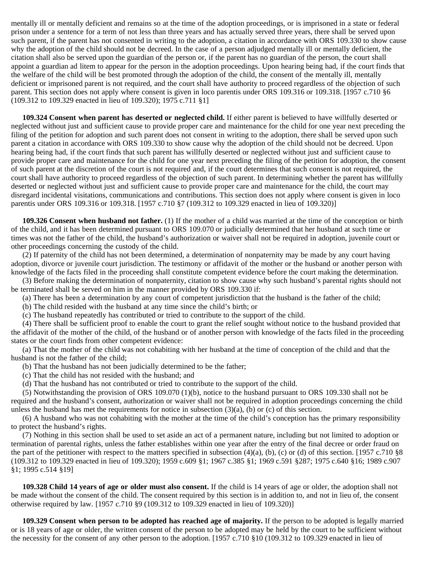mentally ill or mentally deficient and remains so at the time of the adoption proceedings, or is imprisoned in a state or federal prison under a sentence for a term of not less than three years and has actually served three years, there shall be served upon such parent, if the parent has not consented in writing to the adoption, a citation in accordance with ORS 109.330 to show cause why the adoption of the child should not be decreed. In the case of a person adjudged mentally ill or mentally deficient, the citation shall also be served upon the guardian of the person or, if the parent has no guardian of the person, the court shall appoint a guardian ad litem to appear for the person in the adoption proceedings. Upon hearing being had, if the court finds that the welfare of the child will be best promoted through the adoption of the child, the consent of the mentally ill, mentally deficient or imprisoned parent is not required, and the court shall have authority to proceed regardless of the objection of such parent. This section does not apply where consent is given in loco parentis under ORS 109.316 or 109.318. [1957 c.710 §6 (109.312 to 109.329 enacted in lieu of 109.320); 1975 c.711 §1]

 **109.324 Consent when parent has deserted or neglected child.** If either parent is believed to have willfully deserted or neglected without just and sufficient cause to provide proper care and maintenance for the child for one year next preceding the filing of the petition for adoption and such parent does not consent in writing to the adoption, there shall be served upon such parent a citation in accordance with ORS 109.330 to show cause why the adoption of the child should not be decreed. Upon hearing being had, if the court finds that such parent has willfully deserted or neglected without just and sufficient cause to provide proper care and maintenance for the child for one year next preceding the filing of the petition for adoption, the consent of such parent at the discretion of the court is not required and, if the court determines that such consent is not required, the court shall have authority to proceed regardless of the objection of such parent. In determining whether the parent has willfully deserted or neglected without just and sufficient cause to provide proper care and maintenance for the child, the court may disregard incidental visitations, communications and contributions. This section does not apply where consent is given in loco parentis under ORS 109.316 or 109.318. [1957 c.710 §7 (109.312 to 109.329 enacted in lieu of 109.320)]

 **109.326 Consent when husband not father.** (1) If the mother of a child was married at the time of the conception or birth of the child, and it has been determined pursuant to ORS 109.070 or judicially determined that her husband at such time or times was not the father of the child, the husband's authorization or waiver shall not be required in adoption, juvenile court or other proceedings concerning the custody of the child.

 (2) If paternity of the child has not been determined, a determination of nonpaternity may be made by any court having adoption, divorce or juvenile court jurisdiction. The testimony or affidavit of the mother or the husband or another person with knowledge of the facts filed in the proceeding shall constitute competent evidence before the court making the determination.

 (3) Before making the determination of nonpaternity, citation to show cause why such husband's parental rights should not be terminated shall be served on him in the manner provided by ORS 109.330 if:

(a) There has been a determination by any court of competent jurisdiction that the husband is the father of the child;

(b) The child resided with the husband at any time since the child's birth; or

(c) The husband repeatedly has contributed or tried to contribute to the support of the child.

 (4) There shall be sufficient proof to enable the court to grant the relief sought without notice to the husband provided that the affidavit of the mother of the child, of the husband or of another person with knowledge of the facts filed in the proceeding states or the court finds from other competent evidence:

 (a) That the mother of the child was not cohabiting with her husband at the time of conception of the child and that the husband is not the father of the child;

(b) That the husband has not been judicially determined to be the father;

(c) That the child has not resided with the husband; and

(d) That the husband has not contributed or tried to contribute to the support of the child.

 (5) Notwithstanding the provision of ORS 109.070 (1)(b), notice to the husband pursuant to ORS 109.330 shall not be required and the husband's consent, authorization or waiver shall not be required in adoption proceedings concerning the child unless the husband has met the requirements for notice in subsection  $(3)(a)$ , (b) or (c) of this section.

 (6) A husband who was not cohabiting with the mother at the time of the child's conception has the primary responsibility to protect the husband's rights.

 (7) Nothing in this section shall be used to set aside an act of a permanent nature, including but not limited to adoption or termination of parental rights, unless the father establishes within one year after the entry of the final decree or order fraud on the part of the petitioner with respect to the matters specified in subsection  $(4)(a)$ ,  $(b)$ ,  $(c)$  or  $(d)$  of this section. [1957 c.710 §8 (109.312 to 109.329 enacted in lieu of 109.320); 1959 c.609 §1; 1967 c.385 §1; 1969 c.591 §287; 1975 c.640 §16; 1989 c.907 §1; 1995 c.514 §19]

 **109.328 Child 14 years of age or older must also consent.** If the child is 14 years of age or older, the adoption shall not be made without the consent of the child. The consent required by this section is in addition to, and not in lieu of, the consent otherwise required by law. [1957 c.710 §9 (109.312 to 109.329 enacted in lieu of 109.320)]

 **109.329 Consent when person to be adopted has reached age of majority.** If the person to be adopted is legally married or is 18 years of age or older, the written consent of the person to be adopted may be held by the court to be sufficient without the necessity for the consent of any other person to the adoption. [1957 c.710 §10 (109.312 to 109.329 enacted in lieu of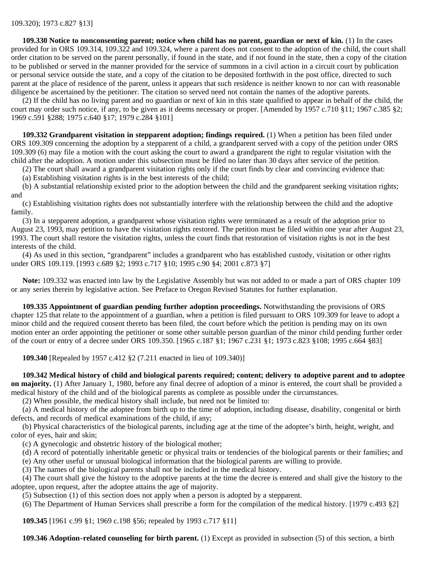**109.330 Notice to nonconsenting parent; notice when child has no parent, guardian or next of kin.** (1) In the cases provided for in ORS 109.314, 109.322 and 109.324, where a parent does not consent to the adoption of the child, the court shall order citation to be served on the parent personally, if found in the state, and if not found in the state, then a copy of the citation to be published or served in the manner provided for the service of summons in a civil action in a circuit court by publication or personal service outside the state, and a copy of the citation to be deposited forthwith in the post office, directed to such parent at the place of residence of the parent, unless it appears that such residence is neither known to nor can with reasonable diligence be ascertained by the petitioner. The citation so served need not contain the names of the adoptive parents.

 (2) If the child has no living parent and no guardian or next of kin in this state qualified to appear in behalf of the child, the court may order such notice, if any, to be given as it deems necessary or proper. [Amended by 1957 c.710 §11; 1967 c.385 §2; 1969 c.591 §288; 1975 c.640 §17; 1979 c.284 §101]

 **109.332 Grandparent visitation in stepparent adoption; findings required.** (1) When a petition has been filed under ORS 109.309 concerning the adoption by a stepparent of a child, a grandparent served with a copy of the petition under ORS 109.309 (6) may file a motion with the court asking the court to award a grandparent the right to regular visitation with the child after the adoption. A motion under this subsection must be filed no later than 30 days after service of the petition.

(2) The court shall award a grandparent visitation rights only if the court finds by clear and convincing evidence that:

(a) Establishing visitation rights is in the best interests of the child;

 (b) A substantial relationship existed prior to the adoption between the child and the grandparent seeking visitation rights; and

 (c) Establishing visitation rights does not substantially interfere with the relationship between the child and the adoptive family.

 (3) In a stepparent adoption, a grandparent whose visitation rights were terminated as a result of the adoption prior to August 23, 1993, may petition to have the visitation rights restored. The petition must be filed within one year after August 23, 1993. The court shall restore the visitation rights, unless the court finds that restoration of visitation rights is not in the best interests of the child.

 (4) As used in this section, "grandparent" includes a grandparent who has established custody, visitation or other rights under ORS 109.119. [1993 c.689 §2; 1993 c.717 §10; 1995 c.90 §4; 2001 c.873 §7]

 **Note:** 109.332 was enacted into law by the Legislative Assembly but was not added to or made a part of ORS chapter 109 or any series therein by legislative action. See Preface to Oregon Revised Statutes for further explanation.

 **109.335 Appointment of guardian pending further adoption proceedings.** Notwithstanding the provisions of ORS chapter 125 that relate to the appointment of a guardian, when a petition is filed pursuant to ORS 109.309 for leave to adopt a minor child and the required consent thereto has been filed, the court before which the petition is pending may on its own motion enter an order appointing the petitioner or some other suitable person guardian of the minor child pending further order of the court or entry of a decree under ORS 109.350. [1965 c.187 §1; 1967 c.231 §1; 1973 c.823 §108; 1995 c.664 §83]

 **109.340** [Repealed by 1957 c.412 §2 (7.211 enacted in lieu of 109.340)]

 **109.342 Medical history of child and biological parents required; content; delivery to adoptive parent and to adoptee on majority.** (1) After January 1, 1980, before any final decree of adoption of a minor is entered, the court shall be provided a medical history of the child and of the biological parents as complete as possible under the circumstances.

(2) When possible, the medical history shall include, but need not be limited to:

 (a) A medical history of the adoptee from birth up to the time of adoption, including disease, disability, congenital or birth defects, and records of medical examinations of the child, if any;

 (b) Physical characteristics of the biological parents, including age at the time of the adoptee's birth, height, weight, and color of eyes, hair and skin;

(c) A gynecologic and obstetric history of the biological mother;

 (d) A record of potentially inheritable genetic or physical traits or tendencies of the biological parents or their families; and (e) Any other useful or unusual biological information that the biological parents are willing to provide.

(3) The names of the biological parents shall not be included in the medical history.

 (4) The court shall give the history to the adoptive parents at the time the decree is entered and shall give the history to the adoptee, upon request, after the adoptee attains the age of majority.

(5) Subsection (1) of this section does not apply when a person is adopted by a stepparent.

(6) The Department of Human Services shall prescribe a form for the compilation of the medical history. [1979 c.493 §2]

 **109.345** [1961 c.99 §1; 1969 c.198 §56; repealed by 1993 c.717 §11]

 **109.346 Adoption-related counseling for birth parent.** (1) Except as provided in subsection (5) of this section, a birth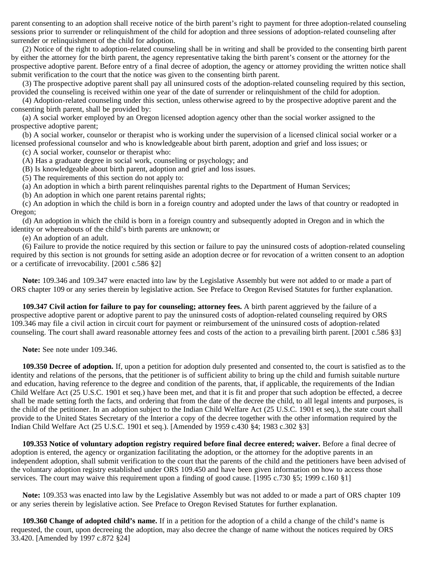parent consenting to an adoption shall receive notice of the birth parent's right to payment for three adoption-related counseling sessions prior to surrender or relinquishment of the child for adoption and three sessions of adoption-related counseling after surrender or relinquishment of the child for adoption.

 (2) Notice of the right to adoption-related counseling shall be in writing and shall be provided to the consenting birth parent by either the attorney for the birth parent, the agency representative taking the birth parent's consent or the attorney for the prospective adoptive parent. Before entry of a final decree of adoption, the agency or attorney providing the written notice shall submit verification to the court that the notice was given to the consenting birth parent.

 (3) The prospective adoptive parent shall pay all uninsured costs of the adoption-related counseling required by this section, provided the counseling is received within one year of the date of surrender or relinquishment of the child for adoption.

 (4) Adoption-related counseling under this section, unless otherwise agreed to by the prospective adoptive parent and the consenting birth parent, shall be provided by:

 (a) A social worker employed by an Oregon licensed adoption agency other than the social worker assigned to the prospective adoptive parent;

 (b) A social worker, counselor or therapist who is working under the supervision of a licensed clinical social worker or a licensed professional counselor and who is knowledgeable about birth parent, adoption and grief and loss issues; or

(c) A social worker, counselor or therapist who:

(A) Has a graduate degree in social work, counseling or psychology; and

(B) Is knowledgeable about birth parent, adoption and grief and loss issues.

(5) The requirements of this section do not apply to:

(a) An adoption in which a birth parent relinquishes parental rights to the Department of Human Services;

(b) An adoption in which one parent retains parental rights;

 (c) An adoption in which the child is born in a foreign country and adopted under the laws of that country or readopted in Oregon;

 (d) An adoption in which the child is born in a foreign country and subsequently adopted in Oregon and in which the identity or whereabouts of the child's birth parents are unknown; or

(e) An adoption of an adult.

 (6) Failure to provide the notice required by this section or failure to pay the uninsured costs of adoption-related counseling required by this section is not grounds for setting aside an adoption decree or for revocation of a written consent to an adoption or a certificate of irrevocability. [2001 c.586 §2]

 **Note:** 109.346 and 109.347 were enacted into law by the Legislative Assembly but were not added to or made a part of ORS chapter 109 or any series therein by legislative action. See Preface to Oregon Revised Statutes for further explanation.

 **109.347 Civil action for failure to pay for counseling; attorney fees.** A birth parent aggrieved by the failure of a prospective adoptive parent or adoptive parent to pay the uninsured costs of adoption-related counseling required by ORS 109.346 may file a civil action in circuit court for payment or reimbursement of the uninsured costs of adoption-related counseling. The court shall award reasonable attorney fees and costs of the action to a prevailing birth parent. [2001 c.586 §3]

 **Note:** See note under 109.346.

 **109.350 Decree of adoption.** If, upon a petition for adoption duly presented and consented to, the court is satisfied as to the identity and relations of the persons, that the petitioner is of sufficient ability to bring up the child and furnish suitable nurture and education, having reference to the degree and condition of the parents, that, if applicable, the requirements of the Indian Child Welfare Act (25 U.S.C. 1901 et seq.) have been met, and that it is fit and proper that such adoption be effected, a decree shall be made setting forth the facts, and ordering that from the date of the decree the child, to all legal intents and purposes, is the child of the petitioner. In an adoption subject to the Indian Child Welfare Act (25 U.S.C. 1901 et seq.), the state court shall provide to the United States Secretary of the Interior a copy of the decree together with the other information required by the Indian Child Welfare Act (25 U.S.C. 1901 et seq.). [Amended by 1959 c.430 §4; 1983 c.302 §3]

 **109.353 Notice of voluntary adoption registry required before final decree entered; waiver.** Before a final decree of adoption is entered, the agency or organization facilitating the adoption, or the attorney for the adoptive parents in an independent adoption, shall submit verification to the court that the parents of the child and the petitioners have been advised of the voluntary adoption registry established under ORS 109.450 and have been given information on how to access those services. The court may waive this requirement upon a finding of good cause. [1995 c.730 §5; 1999 c.160 §1]

 **Note:** 109.353 was enacted into law by the Legislative Assembly but was not added to or made a part of ORS chapter 109 or any series therein by legislative action. See Preface to Oregon Revised Statutes for further explanation.

 **109.360 Change of adopted child's name.** If in a petition for the adoption of a child a change of the child's name is requested, the court, upon decreeing the adoption, may also decree the change of name without the notices required by ORS 33.420. [Amended by 1997 c.872 §24]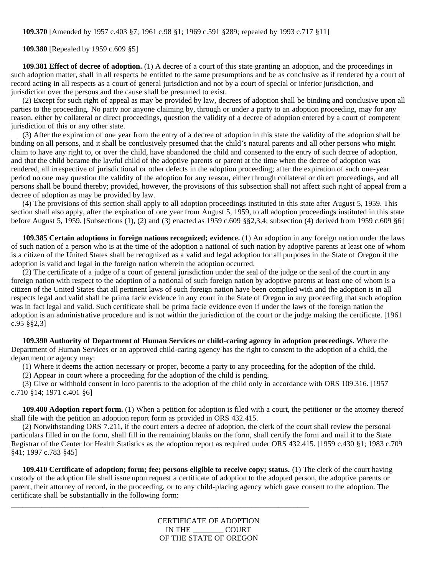**109.370** [Amended by 1957 c.403 §7; 1961 c.98 §1; 1969 c.591 §289; repealed by 1993 c.717 §11]

 **109.380** [Repealed by 1959 c.609 §5]

 **109.381 Effect of decree of adoption.** (1) A decree of a court of this state granting an adoption, and the proceedings in such adoption matter, shall in all respects be entitled to the same presumptions and be as conclusive as if rendered by a court of record acting in all respects as a court of general jurisdiction and not by a court of special or inferior jurisdiction, and jurisdiction over the persons and the cause shall be presumed to exist.

 (2) Except for such right of appeal as may be provided by law, decrees of adoption shall be binding and conclusive upon all parties to the proceeding. No party nor anyone claiming by, through or under a party to an adoption proceeding, may for any reason, either by collateral or direct proceedings, question the validity of a decree of adoption entered by a court of competent jurisdiction of this or any other state.

 (3) After the expiration of one year from the entry of a decree of adoption in this state the validity of the adoption shall be binding on all persons, and it shall be conclusively presumed that the child's natural parents and all other persons who might claim to have any right to, or over the child, have abandoned the child and consented to the entry of such decree of adoption, and that the child became the lawful child of the adoptive parents or parent at the time when the decree of adoption was rendered, all irrespective of jurisdictional or other defects in the adoption proceeding; after the expiration of such one-year period no one may question the validity of the adoption for any reason, either through collateral or direct proceedings, and all persons shall be bound thereby; provided, however, the provisions of this subsection shall not affect such right of appeal from a decree of adoption as may be provided by law.

 (4) The provisions of this section shall apply to all adoption proceedings instituted in this state after August 5, 1959. This section shall also apply, after the expiration of one year from August 5, 1959, to all adoption proceedings instituted in this state before August 5, 1959. [Subsections (1), (2) and (3) enacted as 1959 c.609 §§2,3,4; subsection (4) derived from 1959 c.609 §6]

 **109.385 Certain adoptions in foreign nations recognized; evidence.** (1) An adoption in any foreign nation under the laws of such nation of a person who is at the time of the adoption a national of such nation by adoptive parents at least one of whom is a citizen of the United States shall be recognized as a valid and legal adoption for all purposes in the State of Oregon if the adoption is valid and legal in the foreign nation wherein the adoption occurred.

 (2) The certificate of a judge of a court of general jurisdiction under the seal of the judge or the seal of the court in any foreign nation with respect to the adoption of a national of such foreign nation by adoptive parents at least one of whom is a citizen of the United States that all pertinent laws of such foreign nation have been complied with and the adoption is in all respects legal and valid shall be prima facie evidence in any court in the State of Oregon in any proceeding that such adoption was in fact legal and valid. Such certificate shall be prima facie evidence even if under the laws of the foreign nation the adoption is an administrative procedure and is not within the jurisdiction of the court or the judge making the certificate. [1961 c.95 §§2,3]

 **109.390 Authority of Department of Human Services or child-caring agency in adoption proceedings.** Where the Department of Human Services or an approved child-caring agency has the right to consent to the adoption of a child, the department or agency may:

(1) Where it deems the action necessary or proper, become a party to any proceeding for the adoption of the child.

(2) Appear in court where a proceeding for the adoption of the child is pending.

\_\_\_\_\_\_\_\_\_\_\_\_\_\_\_\_\_\_\_\_\_\_\_\_\_\_\_\_\_\_\_\_\_\_\_\_\_\_\_\_\_\_\_\_\_\_\_\_\_\_\_\_\_\_\_\_\_\_\_\_\_\_\_\_\_\_\_\_\_\_\_\_\_\_\_\_\_\_

 (3) Give or withhold consent in loco parentis to the adoption of the child only in accordance with ORS 109.316. [1957 c.710 §14; 1971 c.401 §6]

**109.400 Adoption report form.** (1) When a petition for adoption is filed with a court, the petitioner or the attorney thereof shall file with the petition an adoption report form as provided in ORS 432.415.

 (2) Notwithstanding ORS 7.211, if the court enters a decree of adoption, the clerk of the court shall review the personal particulars filled in on the form, shall fill in the remaining blanks on the form, shall certify the form and mail it to the State Registrar of the Center for Health Statistics as the adoption report as required under ORS 432.415. [1959 c.430 §1; 1983 c.709 §41; 1997 c.783 §45]

 **109.410 Certificate of adoption; form; fee; persons eligible to receive copy; status.** (1) The clerk of the court having custody of the adoption file shall issue upon request a certificate of adoption to the adopted person, the adoptive parents or parent, their attorney of record, in the proceeding, or to any child-placing agency which gave consent to the adoption. The certificate shall be substantially in the following form:

> CERTIFICATE OF ADOPTION IN THE \_\_\_\_\_\_\_\_ COURT OF THE STATE OF OREGON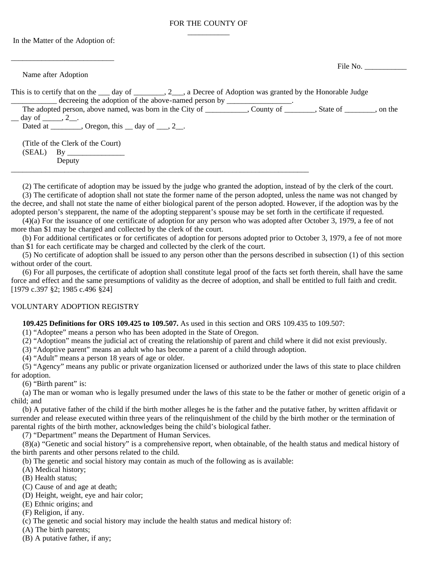## FOR THE COUNTY OF  $\overline{\phantom{a}}$  , where  $\overline{\phantom{a}}$

In the Matter of the Adoption of:

| Name after Adoption                                                                                                                                                                                         | File No. $\qquad \qquad$ |
|-------------------------------------------------------------------------------------------------------------------------------------------------------------------------------------------------------------|--------------------------|
| This is to certify that on the $\_\_\_$ day of $\_\_\_\_$ , 2 $\_\_\_$ , a Decree of Adoption was granted by the Honorable Judge<br>decreeing the adoption of the above-named person by ________________.   |                          |
| The adopted person, above named, was born in the City of _________, County of _______, State of _______, on the<br>$\_\_$ day of $\_\_$ , 2 $\_\_$ .<br>Dated at ________, Oregon, this __ day of ___, 2__. |                          |
| (Title of the Clerk of the Court)<br>Deputy                                                                                                                                                                 |                          |

(2) The certificate of adoption may be issued by the judge who granted the adoption, instead of by the clerk of the court.

 (3) The certificate of adoption shall not state the former name of the person adopted, unless the name was not changed by the decree, and shall not state the name of either biological parent of the person adopted. However, if the adoption was by the adopted person's stepparent, the name of the adopting stepparent's spouse may be set forth in the certificate if requested.

 (4)(a) For the issuance of one certificate of adoption for any person who was adopted after October 3, 1979, a fee of not more than \$1 may be charged and collected by the clerk of the court.

 (b) For additional certificates or for certificates of adoption for persons adopted prior to October 3, 1979, a fee of not more than \$1 for each certificate may be charged and collected by the clerk of the court.

 (5) No certificate of adoption shall be issued to any person other than the persons described in subsection (1) of this section without order of the court.

 (6) For all purposes, the certificate of adoption shall constitute legal proof of the facts set forth therein, shall have the same force and effect and the same presumptions of validity as the decree of adoption, and shall be entitled to full faith and credit. [1979 c.397 §2; 1985 c.496 §24]

#### VOLUNTARY ADOPTION REGISTRY

 **109.425 Definitions for ORS 109.425 to 109.507.** As used in this section and ORS 109.435 to 109.507:

(1) "Adoptee" means a person who has been adopted in the State of Oregon.

(2) "Adoption" means the judicial act of creating the relationship of parent and child where it did not exist previously.

(3) "Adoptive parent" means an adult who has become a parent of a child through adoption.

(4) "Adult" means a person 18 years of age or older.

 (5) "Agency" means any public or private organization licensed or authorized under the laws of this state to place children for adoption.

 $(6)$  "Birth parent" is:

 (a) The man or woman who is legally presumed under the laws of this state to be the father or mother of genetic origin of a child; and

 (b) A putative father of the child if the birth mother alleges he is the father and the putative father, by written affidavit or surrender and release executed within three years of the relinquishment of the child by the birth mother or the termination of parental rights of the birth mother, acknowledges being the child's biological father.

(7) "Department" means the Department of Human Services.

 (8)(a) "Genetic and social history" is a comprehensive report, when obtainable, of the health status and medical history of the birth parents and other persons related to the child.

(b) The genetic and social history may contain as much of the following as is available:

(A) Medical history;

(B) Health status;

(C) Cause of and age at death;

(D) Height, weight, eye and hair color;

(E) Ethnic origins; and

(F) Religion, if any.

(c) The genetic and social history may include the health status and medical history of:

(A) The birth parents;

(B) A putative father, if any;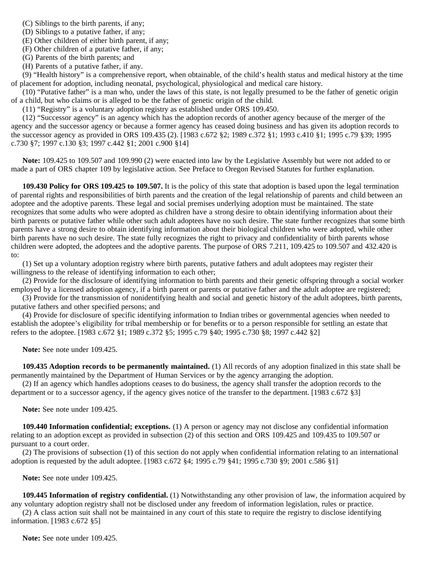(C) Siblings to the birth parents, if any;

(D) Siblings to a putative father, if any;

(E) Other children of either birth parent, if any;

(F) Other children of a putative father, if any;

(G) Parents of the birth parents; and

(H) Parents of a putative father, if any.

 (9) "Health history" is a comprehensive report, when obtainable, of the child's health status and medical history at the time of placement for adoption, including neonatal, psychological, physiological and medical care history.

 (10) "Putative father" is a man who, under the laws of this state, is not legally presumed to be the father of genetic origin of a child, but who claims or is alleged to be the father of genetic origin of the child.

(11) "Registry" is a voluntary adoption registry as established under ORS 109.450.

 (12) "Successor agency" is an agency which has the adoption records of another agency because of the merger of the agency and the successor agency or because a former agency has ceased doing business and has given its adoption records to the successor agency as provided in ORS 109.435 (2). [1983 c.672 §2; 1989 c.372 §1; 1993 c.410 §1; 1995 c.79 §39; 1995 c.730 §7; 1997 c.130 §3; 1997 c.442 §1; 2001 c.900 §14]

 **Note:** 109.425 to 109.507 and 109.990 (2) were enacted into law by the Legislative Assembly but were not added to or made a part of ORS chapter 109 by legislative action. See Preface to Oregon Revised Statutes for further explanation.

**109.430 Policy for ORS 109.425 to 109.507.** It is the policy of this state that adoption is based upon the legal termination of parental rights and responsibilities of birth parents and the creation of the legal relationship of parents and child between an adoptee and the adoptive parents. These legal and social premises underlying adoption must be maintained. The state recognizes that some adults who were adopted as children have a strong desire to obtain identifying information about their birth parents or putative father while other such adult adoptees have no such desire. The state further recognizes that some birth parents have a strong desire to obtain identifying information about their biological children who were adopted, while other birth parents have no such desire. The state fully recognizes the right to privacy and confidentiality of birth parents whose children were adopted, the adoptees and the adoptive parents. The purpose of ORS 7.211, 109.425 to 109.507 and 432.420 is to:

 (1) Set up a voluntary adoption registry where birth parents, putative fathers and adult adoptees may register their willingness to the release of identifying information to each other;

 (2) Provide for the disclosure of identifying information to birth parents and their genetic offspring through a social worker employed by a licensed adoption agency, if a birth parent or parents or putative father and the adult adoptee are registered;

 (3) Provide for the transmission of nonidentifying health and social and genetic history of the adult adoptees, birth parents, putative fathers and other specified persons; and

 (4) Provide for disclosure of specific identifying information to Indian tribes or governmental agencies when needed to establish the adoptee's eligibility for tribal membership or for benefits or to a person responsible for settling an estate that refers to the adoptee. [1983 c.672 §1; 1989 c.372 §5; 1995 c.79 §40; 1995 c.730 §8; 1997 c.442 §2]

**Note:** See note under 109.425.

 **109.435 Adoption records to be permanently maintained.** (1) All records of any adoption finalized in this state shall be permanently maintained by the Department of Human Services or by the agency arranging the adoption.

 (2) If an agency which handles adoptions ceases to do business, the agency shall transfer the adoption records to the department or to a successor agency, if the agency gives notice of the transfer to the department. [1983 c.672 §3]

 **Note:** See note under 109.425.

 **109.440 Information confidential; exceptions.** (1) A person or agency may not disclose any confidential information relating to an adoption except as provided in subsection (2) of this section and ORS 109.425 and 109.435 to 109.507 or pursuant to a court order.

 (2) The provisions of subsection (1) of this section do not apply when confidential information relating to an international adoption is requested by the adult adoptee. [1983 c.672 §4; 1995 c.79 §41; 1995 c.730 §9; 2001 c.586 §1]

 **Note:** See note under 109.425.

 **109.445 Information of registry confidential.** (1) Notwithstanding any other provision of law, the information acquired by any voluntary adoption registry shall not be disclosed under any freedom of information legislation, rules or practice.

 (2) A class action suit shall not be maintained in any court of this state to require the registry to disclose identifying information. [1983 c.672 §5]

 **Note:** See note under 109.425.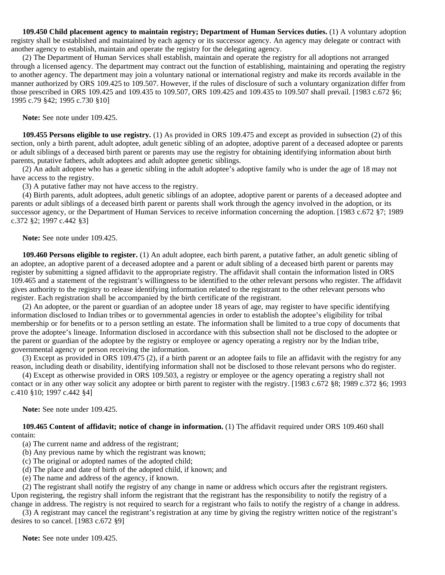**109.450 Child placement agency to maintain registry; Department of Human Services duties.** (1) A voluntary adoption registry shall be established and maintained by each agency or its successor agency. An agency may delegate or contract with another agency to establish, maintain and operate the registry for the delegating agency.

 (2) The Department of Human Services shall establish, maintain and operate the registry for all adoptions not arranged through a licensed agency. The department may contract out the function of establishing, maintaining and operating the registry to another agency. The department may join a voluntary national or international registry and make its records available in the manner authorized by ORS 109.425 to 109.507. However, if the rules of disclosure of such a voluntary organization differ from those prescribed in ORS 109.425 and 109.435 to 109.507, ORS 109.425 and 109.435 to 109.507 shall prevail. [1983 c.672 §6; 1995 c.79 §42; 1995 c.730 §10]

 **Note:** See note under 109.425.

 **109.455 Persons eligible to use registry.** (1) As provided in ORS 109.475 and except as provided in subsection (2) of this section, only a birth parent, adult adoptee, adult genetic sibling of an adoptee, adoptive parent of a deceased adoptee or parents or adult siblings of a deceased birth parent or parents may use the registry for obtaining identifying information about birth parents, putative fathers, adult adoptees and adult adoptee genetic siblings.

 (2) An adult adoptee who has a genetic sibling in the adult adoptee's adoptive family who is under the age of 18 may not have access to the registry.

(3) A putative father may not have access to the registry.

 (4) Birth parents, adult adoptees, adult genetic siblings of an adoptee, adoptive parent or parents of a deceased adoptee and parents or adult siblings of a deceased birth parent or parents shall work through the agency involved in the adoption, or its successor agency, or the Department of Human Services to receive information concerning the adoption. [1983 c.672 §7; 1989 c.372 §2; 1997 c.442 §3]

 **Note:** See note under 109.425.

 **109.460 Persons eligible to register.** (1) An adult adoptee, each birth parent, a putative father, an adult genetic sibling of an adoptee, an adoptive parent of a deceased adoptee and a parent or adult sibling of a deceased birth parent or parents may register by submitting a signed affidavit to the appropriate registry. The affidavit shall contain the information listed in ORS 109.465 and a statement of the registrant's willingness to be identified to the other relevant persons who register. The affidavit gives authority to the registry to release identifying information related to the registrant to the other relevant persons who register. Each registration shall be accompanied by the birth certificate of the registrant.

 (2) An adoptee, or the parent or guardian of an adoptee under 18 years of age, may register to have specific identifying information disclosed to Indian tribes or to governmental agencies in order to establish the adoptee's eligibility for tribal membership or for benefits or to a person settling an estate. The information shall be limited to a true copy of documents that prove the adoptee's lineage. Information disclosed in accordance with this subsection shall not be disclosed to the adoptee or the parent or guardian of the adoptee by the registry or employee or agency operating a registry nor by the Indian tribe, governmental agency or person receiving the information.

 (3) Except as provided in ORS 109.475 (2), if a birth parent or an adoptee fails to file an affidavit with the registry for any reason, including death or disability, identifying information shall not be disclosed to those relevant persons who do register.

 (4) Except as otherwise provided in ORS 109.503, a registry or employee or the agency operating a registry shall not contact or in any other way solicit any adoptee or birth parent to register with the registry. [1983 c.672 §8; 1989 c.372 §6; 1993 c.410 §10; 1997 c.442 §4]

 **Note:** See note under 109.425.

 **109.465 Content of affidavit; notice of change in information.** (1) The affidavit required under ORS 109.460 shall contain:

(a) The current name and address of the registrant;

(b) Any previous name by which the registrant was known;

(c) The original or adopted names of the adopted child;

- (d) The place and date of birth of the adopted child, if known; and
- (e) The name and address of the agency, if known.

 (2) The registrant shall notify the registry of any change in name or address which occurs after the registrant registers. Upon registering, the registry shall inform the registrant that the registrant has the responsibility to notify the registry of a change in address. The registry is not required to search for a registrant who fails to notify the registry of a change in address.

 (3) A registrant may cancel the registrant's registration at any time by giving the registry written notice of the registrant's desires to so cancel. [1983 c.672 §9]

 **Note:** See note under 109.425.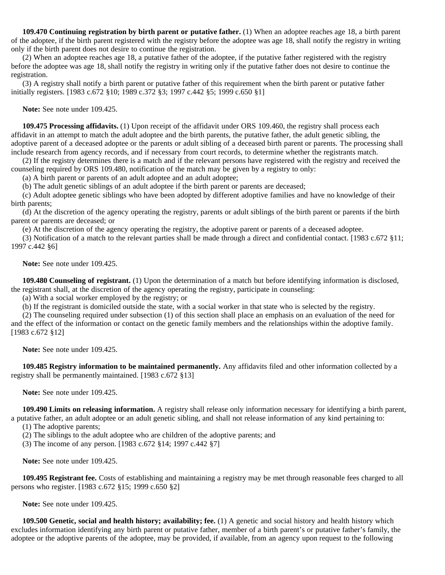**109.470 Continuing registration by birth parent or putative father.** (1) When an adoptee reaches age 18, a birth parent of the adoptee, if the birth parent registered with the registry before the adoptee was age 18, shall notify the registry in writing only if the birth parent does not desire to continue the registration.

 (2) When an adoptee reaches age 18, a putative father of the adoptee, if the putative father registered with the registry before the adoptee was age 18, shall notify the registry in writing only if the putative father does not desire to continue the registration.

 (3) A registry shall notify a birth parent or putative father of this requirement when the birth parent or putative father initially registers. [1983 c.672 §10; 1989 c.372 §3; 1997 c.442 §5; 1999 c.650 §1]

 **Note:** See note under 109.425.

 **109.475 Processing affidavits.** (1) Upon receipt of the affidavit under ORS 109.460, the registry shall process each affidavit in an attempt to match the adult adoptee and the birth parents, the putative father, the adult genetic sibling, the adoptive parent of a deceased adoptee or the parents or adult sibling of a deceased birth parent or parents. The processing shall include research from agency records, and if necessary from court records, to determine whether the registrants match.

 (2) If the registry determines there is a match and if the relevant persons have registered with the registry and received the counseling required by ORS 109.480, notification of the match may be given by a registry to only:

(a) A birth parent or parents of an adult adoptee and an adult adoptee;

(b) The adult genetic siblings of an adult adoptee if the birth parent or parents are deceased;

 (c) Adult adoptee genetic siblings who have been adopted by different adoptive families and have no knowledge of their birth parents;

 (d) At the discretion of the agency operating the registry, parents or adult siblings of the birth parent or parents if the birth parent or parents are deceased; or

(e) At the discretion of the agency operating the registry, the adoptive parent or parents of a deceased adoptee.

 (3) Notification of a match to the relevant parties shall be made through a direct and confidential contact. [1983 c.672 §11; 1997 c.442 §6]

 **Note:** See note under 109.425.

 **109.480 Counseling of registrant.** (1) Upon the determination of a match but before identifying information is disclosed, the registrant shall, at the discretion of the agency operating the registry, participate in counseling:

(a) With a social worker employed by the registry; or

(b) If the registrant is domiciled outside the state, with a social worker in that state who is selected by the registry.

 (2) The counseling required under subsection (1) of this section shall place an emphasis on an evaluation of the need for and the effect of the information or contact on the genetic family members and the relationships within the adoptive family. [1983 c.672 §12]

 **Note:** See note under 109.425.

 **109.485 Registry information to be maintained permanently.** Any affidavits filed and other information collected by a registry shall be permanently maintained. [1983 c.672 §13]

 **Note:** See note under 109.425.

 **109.490 Limits on releasing information.** A registry shall release only information necessary for identifying a birth parent, a putative father, an adult adoptee or an adult genetic sibling, and shall not release information of any kind pertaining to:

(1) The adoptive parents;

(2) The siblings to the adult adoptee who are children of the adoptive parents; and

(3) The income of any person. [1983 c.672 §14; 1997 c.442 §7]

 **Note:** See note under 109.425.

 **109.495 Registrant fee.** Costs of establishing and maintaining a registry may be met through reasonable fees charged to all persons who register. [1983 c.672 §15; 1999 c.650 §2]

 **Note:** See note under 109.425.

 **109.500 Genetic, social and health history; availability; fee.** (1) A genetic and social history and health history which excludes information identifying any birth parent or putative father, member of a birth parent's or putative father's family, the adoptee or the adoptive parents of the adoptee, may be provided, if available, from an agency upon request to the following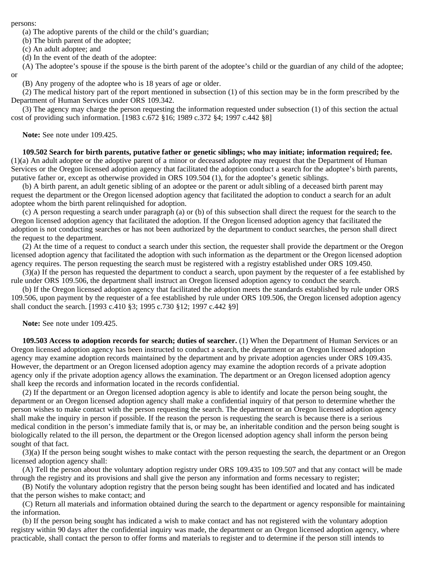persons:

(a) The adoptive parents of the child or the child's guardian;

(b) The birth parent of the adoptee;

(c) An adult adoptee; and

(d) In the event of the death of the adoptee:

(A) The adoptee's spouse if the spouse is the birth parent of the adoptee's child or the guardian of any child of the adoptee;

or

(B) Any progeny of the adoptee who is 18 years of age or older.

 (2) The medical history part of the report mentioned in subsection (1) of this section may be in the form prescribed by the Department of Human Services under ORS 109.342.

 (3) The agency may charge the person requesting the information requested under subsection (1) of this section the actual cost of providing such information. [1983 c.672 §16; 1989 c.372 §4; 1997 c.442 §8]

 **Note:** See note under 109.425.

 **109.502 Search for birth parents, putative father or genetic siblings; who may initiate; information required; fee.** (1)(a) An adult adoptee or the adoptive parent of a minor or deceased adoptee may request that the Department of Human Services or the Oregon licensed adoption agency that facilitated the adoption conduct a search for the adoptee's birth parents, putative father or, except as otherwise provided in ORS 109.504 (1), for the adoptee's genetic siblings.

 (b) A birth parent, an adult genetic sibling of an adoptee or the parent or adult sibling of a deceased birth parent may request the department or the Oregon licensed adoption agency that facilitated the adoption to conduct a search for an adult adoptee whom the birth parent relinquished for adoption.

 (c) A person requesting a search under paragraph (a) or (b) of this subsection shall direct the request for the search to the Oregon licensed adoption agency that facilitated the adoption. If the Oregon licensed adoption agency that facilitated the adoption is not conducting searches or has not been authorized by the department to conduct searches, the person shall direct the request to the department.

 (2) At the time of a request to conduct a search under this section, the requester shall provide the department or the Oregon licensed adoption agency that facilitated the adoption with such information as the department or the Oregon licensed adoption agency requires. The person requesting the search must be registered with a registry established under ORS 109.450.

 (3)(a) If the person has requested the department to conduct a search, upon payment by the requester of a fee established by rule under ORS 109.506, the department shall instruct an Oregon licensed adoption agency to conduct the search.

 (b) If the Oregon licensed adoption agency that facilitated the adoption meets the standards established by rule under ORS 109.506, upon payment by the requester of a fee established by rule under ORS 109.506, the Oregon licensed adoption agency shall conduct the search. [1993 c.410 §3; 1995 c.730 §12; 1997 c.442 §9]

 **Note:** See note under 109.425.

 **109.503 Access to adoption records for search; duties of searcher.** (1) When the Department of Human Services or an Oregon licensed adoption agency has been instructed to conduct a search, the department or an Oregon licensed adoption agency may examine adoption records maintained by the department and by private adoption agencies under ORS 109.435. However, the department or an Oregon licensed adoption agency may examine the adoption records of a private adoption agency only if the private adoption agency allows the examination. The department or an Oregon licensed adoption agency shall keep the records and information located in the records confidential.

 (2) If the department or an Oregon licensed adoption agency is able to identify and locate the person being sought, the department or an Oregon licensed adoption agency shall make a confidential inquiry of that person to determine whether the person wishes to make contact with the person requesting the search. The department or an Oregon licensed adoption agency shall make the inquiry in person if possible. If the reason the person is requesting the search is because there is a serious medical condition in the person's immediate family that is, or may be, an inheritable condition and the person being sought is biologically related to the ill person, the department or the Oregon licensed adoption agency shall inform the person being sought of that fact.

 (3)(a) If the person being sought wishes to make contact with the person requesting the search, the department or an Oregon licensed adoption agency shall:

 (A) Tell the person about the voluntary adoption registry under ORS 109.435 to 109.507 and that any contact will be made through the registry and its provisions and shall give the person any information and forms necessary to register;

 (B) Notify the voluntary adoption registry that the person being sought has been identified and located and has indicated that the person wishes to make contact; and

 (C) Return all materials and information obtained during the search to the department or agency responsible for maintaining the information.

 (b) If the person being sought has indicated a wish to make contact and has not registered with the voluntary adoption registry within 90 days after the confidential inquiry was made, the department or an Oregon licensed adoption agency, where practicable, shall contact the person to offer forms and materials to register and to determine if the person still intends to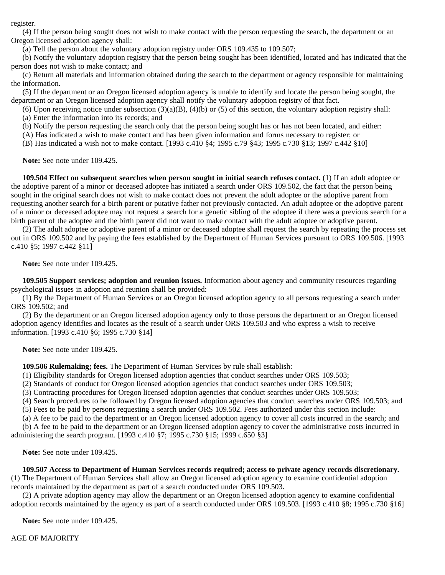register.

 (4) If the person being sought does not wish to make contact with the person requesting the search, the department or an Oregon licensed adoption agency shall:

(a) Tell the person about the voluntary adoption registry under ORS 109.435 to 109.507;

 (b) Notify the voluntary adoption registry that the person being sought has been identified, located and has indicated that the person does not wish to make contact; and

 (c) Return all materials and information obtained during the search to the department or agency responsible for maintaining the information.

 (5) If the department or an Oregon licensed adoption agency is unable to identify and locate the person being sought, the department or an Oregon licensed adoption agency shall notify the voluntary adoption registry of that fact.

(6) Upon receiving notice under subsection  $(3)(a)(B)$ ,  $(4)(b)$  or (5) of this section, the voluntary adoption registry shall: (a) Enter the information into its records; and

(b) Notify the person requesting the search only that the person being sought has or has not been located, and either:

(A) Has indicated a wish to make contact and has been given information and forms necessary to register; or

(B) Has indicated a wish not to make contact. [1993 c.410 §4; 1995 c.79 §43; 1995 c.730 §13; 1997 c.442 §10]

 **Note:** See note under 109.425.

 **109.504 Effect on subsequent searches when person sought in initial search refuses contact.** (1) If an adult adoptee or the adoptive parent of a minor or deceased adoptee has initiated a search under ORS 109.502, the fact that the person being sought in the original search does not wish to make contact does not prevent the adult adoptee or the adoptive parent from requesting another search for a birth parent or putative father not previously contacted. An adult adoptee or the adoptive parent of a minor or deceased adoptee may not request a search for a genetic sibling of the adoptee if there was a previous search for a birth parent of the adoptee and the birth parent did not want to make contact with the adult adoptee or adoptive parent.

 (2) The adult adoptee or adoptive parent of a minor or deceased adoptee shall request the search by repeating the process set out in ORS 109.502 and by paying the fees established by the Department of Human Services pursuant to ORS 109.506. [1993 c.410 §5; 1997 c.442 §11]

 **Note:** See note under 109.425.

 **109.505 Support services; adoption and reunion issues.** Information about agency and community resources regarding psychological issues in adoption and reunion shall be provided:

 (1) By the Department of Human Services or an Oregon licensed adoption agency to all persons requesting a search under ORS 109.502; and

 (2) By the department or an Oregon licensed adoption agency only to those persons the department or an Oregon licensed adoption agency identifies and locates as the result of a search under ORS 109.503 and who express a wish to receive information. [1993 c.410 §6; 1995 c.730 §14]

**Note:** See note under 109.425.

 **109.506 Rulemaking; fees.** The Department of Human Services by rule shall establish:

(1) Eligibility standards for Oregon licensed adoption agencies that conduct searches under ORS 109.503;

(2) Standards of conduct for Oregon licensed adoption agencies that conduct searches under ORS 109.503;

(3) Contracting procedures for Oregon licensed adoption agencies that conduct searches under ORS 109.503;

 (4) Search procedures to be followed by Oregon licensed adoption agencies that conduct searches under ORS 109.503; and (5) Fees to be paid by persons requesting a search under ORS 109.502. Fees authorized under this section include:

(a) A fee to be paid to the department or an Oregon licensed adoption agency to cover all costs incurred in the search; and

 (b) A fee to be paid to the department or an Oregon licensed adoption agency to cover the administrative costs incurred in administering the search program. [1993 c.410 §7; 1995 c.730 §15; 1999 c.650 §3]

 **Note:** See note under 109.425.

 **109.507 Access to Department of Human Services records required; access to private agency records discretionary.**

(1) The Department of Human Services shall allow an Oregon licensed adoption agency to examine confidential adoption records maintained by the department as part of a search conducted under ORS 109.503.

 (2) A private adoption agency may allow the department or an Oregon licensed adoption agency to examine confidential adoption records maintained by the agency as part of a search conducted under ORS 109.503. [1993 c.410 §8; 1995 c.730 §16]

 **Note:** See note under 109.425.

AGE OF MAJORITY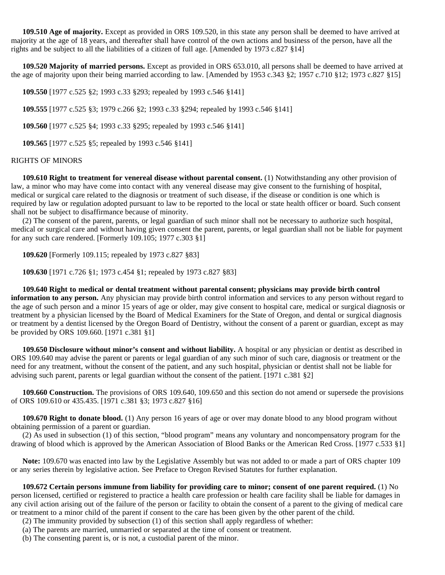**109.510 Age of majority.** Except as provided in ORS 109.520, in this state any person shall be deemed to have arrived at majority at the age of 18 years, and thereafter shall have control of the own actions and business of the person, have all the rights and be subject to all the liabilities of a citizen of full age. [Amended by 1973 c.827 §14]

 **109.520 Majority of married persons.** Except as provided in ORS 653.010, all persons shall be deemed to have arrived at the age of majority upon their being married according to law. [Amended by 1953 c.343 §2; 1957 c.710 §12; 1973 c.827 §15]

 **109.550** [1977 c.525 §2; 1993 c.33 §293; repealed by 1993 c.546 §141]

 **109.555** [1977 c.525 §3; 1979 c.266 §2; 1993 c.33 §294; repealed by 1993 c.546 §141]

 **109.560** [1977 c.525 §4; 1993 c.33 §295; repealed by 1993 c.546 §141]

 **109.565** [1977 c.525 §5; repealed by 1993 c.546 §141]

#### RIGHTS OF MINORS

 **109.610 Right to treatment for venereal disease without parental consent.** (1) Notwithstanding any other provision of law, a minor who may have come into contact with any venereal disease may give consent to the furnishing of hospital, medical or surgical care related to the diagnosis or treatment of such disease, if the disease or condition is one which is required by law or regulation adopted pursuant to law to be reported to the local or state health officer or board. Such consent shall not be subject to disaffirmance because of minority.

 (2) The consent of the parent, parents, or legal guardian of such minor shall not be necessary to authorize such hospital, medical or surgical care and without having given consent the parent, parents, or legal guardian shall not be liable for payment for any such care rendered. [Formerly 109.105; 1977 c.303 §1]

 **109.620** [Formerly 109.115; repealed by 1973 c.827 §83]

 **109.630** [1971 c.726 §1; 1973 c.454 §1; repealed by 1973 c.827 §83]

 **109.640 Right to medical or dental treatment without parental consent; physicians may provide birth control information to any person.** Any physician may provide birth control information and services to any person without regard to the age of such person and a minor 15 years of age or older, may give consent to hospital care, medical or surgical diagnosis or treatment by a physician licensed by the Board of Medical Examiners for the State of Oregon, and dental or surgical diagnosis or treatment by a dentist licensed by the Oregon Board of Dentistry, without the consent of a parent or guardian, except as may be provided by ORS 109.660. [1971 c.381 §1]

 **109.650 Disclosure without minor's consent and without liability.** A hospital or any physician or dentist as described in ORS 109.640 may advise the parent or parents or legal guardian of any such minor of such care, diagnosis or treatment or the need for any treatment, without the consent of the patient, and any such hospital, physician or dentist shall not be liable for advising such parent, parents or legal guardian without the consent of the patient. [1971 c.381 §2]

 **109.660 Construction.** The provisions of ORS 109.640, 109.650 and this section do not amend or supersede the provisions of ORS 109.610 or 435.435. [1971 c.381 §3; 1973 c.827 §16]

 **109.670 Right to donate blood.** (1) Any person 16 years of age or over may donate blood to any blood program without obtaining permission of a parent or guardian.

 (2) As used in subsection (1) of this section, "blood program" means any voluntary and noncompensatory program for the drawing of blood which is approved by the American Association of Blood Banks or the American Red Cross. [1977 c.533 §1]

 **Note:** 109.670 was enacted into law by the Legislative Assembly but was not added to or made a part of ORS chapter 109 or any series therein by legislative action. See Preface to Oregon Revised Statutes for further explanation.

 **109.672 Certain persons immune from liability for providing care to minor; consent of one parent required.** (1) No person licensed, certified or registered to practice a health care profession or health care facility shall be liable for damages in any civil action arising out of the failure of the person or facility to obtain the consent of a parent to the giving of medical care or treatment to a minor child of the parent if consent to the care has been given by the other parent of the child.

(2) The immunity provided by subsection (1) of this section shall apply regardless of whether:

(a) The parents are married, unmarried or separated at the time of consent or treatment.

(b) The consenting parent is, or is not, a custodial parent of the minor.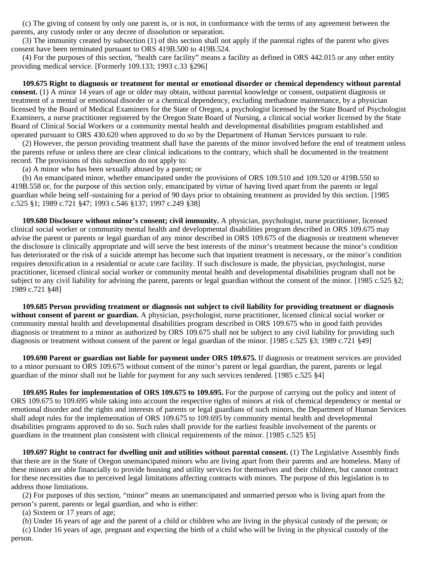(c) The giving of consent by only one parent is, or is not, in conformance with the terms of any agreement between the parents, any custody order or any decree of dissolution or separation.

 (3) The immunity created by subsection (1) of this section shall not apply if the parental rights of the parent who gives consent have been terminated pursuant to ORS 419B.500 to 419B.524.

 (4) For the purposes of this section, "health care facility" means a facility as defined in ORS 442.015 or any other entity providing medical service. [Formerly 109.133; 1993 c.33 §296]

 **109.675 Right to diagnosis or treatment for mental or emotional disorder or chemical dependency without parental consent.** (1) A minor 14 years of age or older may obtain, without parental knowledge or consent, outpatient diagnosis or treatment of a mental or emotional disorder or a chemical dependency, excluding methadone maintenance, by a physician licensed by the Board of Medical Examiners for the State of Oregon, a psychologist licensed by the State Board of Psychologist Examiners, a nurse practitioner registered by the Oregon State Board of Nursing, a clinical social worker licensed by the State Board of Clinical Social Workers or a community mental health and developmental disabilities program established and operated pursuant to ORS 430.620 when approved to do so by the Department of Human Services pursuant to rule.

 (2) However, the person providing treatment shall have the parents of the minor involved before the end of treatment unless the parents refuse or unless there are clear clinical indications to the contrary, which shall be documented in the treatment record. The provisions of this subsection do not apply to:

(a) A minor who has been sexually abused by a parent; or

 (b) An emancipated minor, whether emancipated under the provisions of ORS 109.510 and 109.520 or 419B.550 to 419B.558 or, for the purpose of this section only, emancipated by virtue of having lived apart from the parents or legal guardian while being self-sustaining for a period of 90 days prior to obtaining treatment as provided by this section. [1985 c.525 §1; 1989 c.721 §47; 1993 c.546 §137; 1997 c.249 §38]

 **109.680 Disclosure without minor's consent; civil immunity.** A physician, psychologist, nurse practitioner, licensed clinical social worker or community mental health and developmental disabilities program described in ORS 109.675 may advise the parent or parents or legal guardian of any minor described in ORS 109.675 of the diagnosis or treatment whenever the disclosure is clinically appropriate and will serve the best interests of the minor's treatment because the minor's condition has deteriorated or the risk of a suicide attempt has become such that inpatient treatment is necessary, or the minor's condition requires detoxification in a residential or acute care facility. If such disclosure is made, the physician, psychologist, nurse practitioner, licensed clinical social worker or community mental health and developmental disabilities program shall not be subject to any civil liability for advising the parent, parents or legal guardian without the consent of the minor. [1985 c.525 §2; 1989 c.721 §48]

 **109.685 Person providing treatment or diagnosis not subject to civil liability for providing treatment or diagnosis without consent of parent or guardian.** A physician, psychologist, nurse practitioner, licensed clinical social worker or community mental health and developmental disabilities program described in ORS 109.675 who in good faith provides diagnosis or treatment to a minor as authorized by ORS 109.675 shall not be subject to any civil liability for providing such diagnosis or treatment without consent of the parent or legal guardian of the minor. [1985 c.525 §3; 1989 c.721 §49]

 **109.690 Parent or guardian not liable for payment under ORS 109.675.** If diagnosis or treatment services are provided to a minor pursuant to ORS 109.675 without consent of the minor's parent or legal guardian, the parent, parents or legal guardian of the minor shall not be liable for payment for any such services rendered. [1985 c.525 §4]

 **109.695 Rules for implementation of ORS 109.675 to 109.695.** For the purpose of carrying out the policy and intent of ORS 109.675 to 109.695 while taking into account the respective rights of minors at risk of chemical dependency or mental or emotional disorder and the rights and interests of parents or legal guardians of such minors, the Department of Human Services shall adopt rules for the implementation of ORS 109.675 to 109.695 by community mental health and developmental disabilities programs approved to do so. Such rules shall provide for the earliest feasible involvement of the parents or guardians in the treatment plan consistent with clinical requirements of the minor. [1985 c.525 §5]

 **109.697 Right to contract for dwelling unit and utilities without parental consent.** (1) The Legislative Assembly finds that there are in the State of Oregon unemancipated minors who are living apart from their parents and are homeless. Many of these minors are able financially to provide housing and utility services for themselves and their children, but cannot contract for these necessities due to perceived legal limitations affecting contracts with minors. The purpose of this legislation is to address those limitations.

 (2) For purposes of this section, "minor" means an unemancipated and unmarried person who is living apart from the person's parent, parents or legal guardian, and who is either:

(a) Sixteen or 17 years of age;

 (b) Under 16 years of age and the parent of a child or children who are living in the physical custody of the person; or (c) Under 16 years of age, pregnant and expecting the birth of a child who will be living in the physical custody of the

person.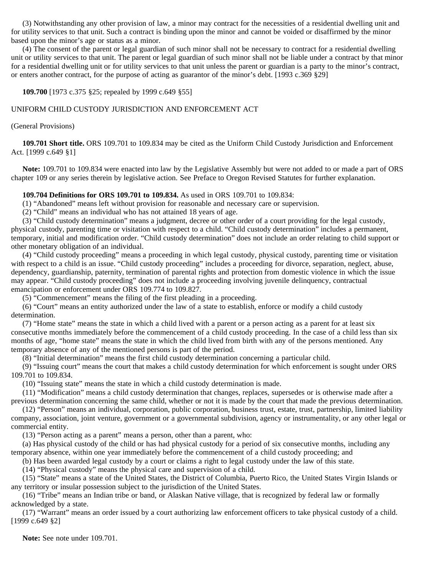(3) Notwithstanding any other provision of law, a minor may contract for the necessities of a residential dwelling unit and for utility services to that unit. Such a contract is binding upon the minor and cannot be voided or disaffirmed by the minor based upon the minor's age or status as a minor.

 (4) The consent of the parent or legal guardian of such minor shall not be necessary to contract for a residential dwelling unit or utility services to that unit. The parent or legal guardian of such minor shall not be liable under a contract by that minor for a residential dwelling unit or for utility services to that unit unless the parent or guardian is a party to the minor's contract, or enters another contract, for the purpose of acting as guarantor of the minor's debt. [1993 c.369 §29]

 **109.700** [1973 c.375 §25; repealed by 1999 c.649 §55]

## UNIFORM CHILD CUSTODY JURISDICTION AND ENFORCEMENT ACT

(General Provisions)

 **109.701 Short title.** ORS 109.701 to 109.834 may be cited as the Uniform Child Custody Jurisdiction and Enforcement Act. [1999 c.649 §1]

 **Note:** 109.701 to 109.834 were enacted into law by the Legislative Assembly but were not added to or made a part of ORS chapter 109 or any series therein by legislative action. See Preface to Oregon Revised Statutes for further explanation.

### **109.704 Definitions for ORS 109.701 to 109.834.** As used in ORS 109.701 to 109.834:

(1) "Abandoned" means left without provision for reasonable and necessary care or supervision.

(2) "Child" means an individual who has not attained 18 years of age.

 (3) "Child custody determination" means a judgment, decree or other order of a court providing for the legal custody, physical custody, parenting time or visitation with respect to a child. "Child custody determination" includes a permanent, temporary, initial and modification order. "Child custody determination" does not include an order relating to child support or other monetary obligation of an individual.

 (4) "Child custody proceeding" means a proceeding in which legal custody, physical custody, parenting time or visitation with respect to a child is an issue. "Child custody proceeding" includes a proceeding for divorce, separation, neglect, abuse, dependency, guardianship, paternity, termination of parental rights and protection from domestic violence in which the issue may appear. "Child custody proceeding" does not include a proceeding involving juvenile delinquency, contractual emancipation or enforcement under ORS 109.774 to 109.827.

(5) "Commencement" means the filing of the first pleading in a proceeding.

 (6) "Court" means an entity authorized under the law of a state to establish, enforce or modify a child custody determination.

 (7) "Home state" means the state in which a child lived with a parent or a person acting as a parent for at least six consecutive months immediately before the commencement of a child custody proceeding. In the case of a child less than six months of age, "home state" means the state in which the child lived from birth with any of the persons mentioned. Any temporary absence of any of the mentioned persons is part of the period.

(8) "Initial determination" means the first child custody determination concerning a particular child.

 (9) "Issuing court" means the court that makes a child custody determination for which enforcement is sought under ORS 109.701 to 109.834.

(10) "Issuing state" means the state in which a child custody determination is made.

 (11) "Modification" means a child custody determination that changes, replaces, supersedes or is otherwise made after a previous determination concerning the same child, whether or not it is made by the court that made the previous determination.

 (12) "Person" means an individual, corporation, public corporation, business trust, estate, trust, partnership, limited liability company, association, joint venture, government or a governmental subdivision, agency or instrumentality, or any other legal or commercial entity.

(13) "Person acting as a parent" means a person, other than a parent, who:

 (a) Has physical custody of the child or has had physical custody for a period of six consecutive months, including any temporary absence, within one year immediately before the commencement of a child custody proceeding; and

(b) Has been awarded legal custody by a court or claims a right to legal custody under the law of this state.

(14) "Physical custody" means the physical care and supervision of a child.

 (15) "State" means a state of the United States, the District of Columbia, Puerto Rico, the United States Virgin Islands or any territory or insular possession subject to the jurisdiction of the United States.

 (16) "Tribe" means an Indian tribe or band, or Alaskan Native village, that is recognized by federal law or formally acknowledged by a state.

 (17) "Warrant" means an order issued by a court authorizing law enforcement officers to take physical custody of a child. [1999 c.649 §2]

 **Note:** See note under 109.701.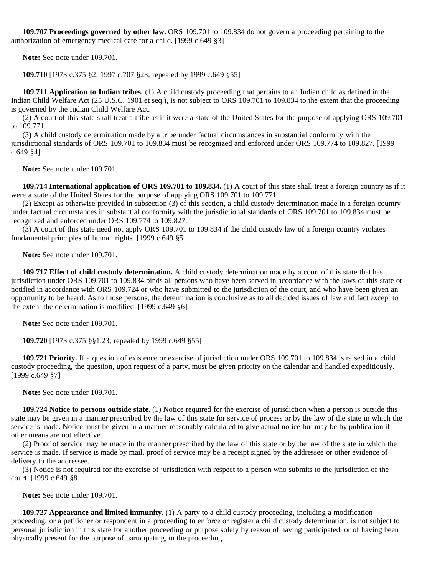**109.707 Proceedings governed by other law.** ORS 109.701 to 109.834 do not govern a proceeding pertaining to the authorization of emergency medical care for a child. [1999 c.649 §3]

 **Note:** See note under 109.701.

 **109.710** [1973 c.375 §2; 1997 c.707 §23; repealed by 1999 c.649 §55]

 **109.711 Application to Indian tribes.** (1) A child custody proceeding that pertains to an Indian child as defined in the Indian Child Welfare Act (25 U.S.C. 1901 et seq.), is not subject to ORS 109.701 to 109.834 to the extent that the proceeding is governed by the Indian Child Welfare Act.

 (2) A court of this state shall treat a tribe as if it were a state of the United States for the purpose of applying ORS 109.701 to 109.771.

 (3) A child custody determination made by a tribe under factual circumstances in substantial conformity with the jurisdictional standards of ORS 109.701 to 109.834 must be recognized and enforced under ORS 109.774 to 109.827. [1999 c.649 §4]

 **Note:** See note under 109.701.

 **109.714 International application of ORS 109.701 to 109.834.** (1) A court of this state shall treat a foreign country as if it were a state of the United States for the purpose of applying ORS 109.701 to 109.771.

 (2) Except as otherwise provided in subsection (3) of this section, a child custody determination made in a foreign country under factual circumstances in substantial conformity with the jurisdictional standards of ORS 109.701 to 109.834 must be recognized and enforced under ORS 109.774 to 109.827.

 (3) A court of this state need not apply ORS 109.701 to 109.834 if the child custody law of a foreign country violates fundamental principles of human rights. [1999 c.649 §5]

 **Note:** See note under 109.701.

 **109.717 Effect of child custody determination.** A child custody determination made by a court of this state that has jurisdiction under ORS 109.701 to 109.834 binds all persons who have been served in accordance with the laws of this state or notified in accordance with ORS 109.724 or who have submitted to the jurisdiction of the court, and who have been given an opportunity to be heard. As to those persons, the determination is conclusive as to all decided issues of law and fact except to the extent the determination is modified. [1999 c.649 §6]

 **Note:** See note under 109.701.

 **109.720** [1973 c.375 §§1,23; repealed by 1999 c.649 §55]

 **109.721 Priority.** If a question of existence or exercise of jurisdiction under ORS 109.701 to 109.834 is raised in a child custody proceeding, the question, upon request of a party, must be given priority on the calendar and handled expeditiously. [1999 c.649 §7]

 **Note:** See note under 109.701.

 **109.724 Notice to persons outside state.** (1) Notice required for the exercise of jurisdiction when a person is outside this state may be given in a manner prescribed by the law of this state for service of process or by the law of the state in which the service is made. Notice must be given in a manner reasonably calculated to give actual notice but may be by publication if other means are not effective.

 (2) Proof of service may be made in the manner prescribed by the law of this state or by the law of the state in which the service is made. If service is made by mail, proof of service may be a receipt signed by the addressee or other evidence of delivery to the addressee.

 (3) Notice is not required for the exercise of jurisdiction with respect to a person who submits to the jurisdiction of the court. [1999 c.649 §8]

 **Note:** See note under 109.701.

**109.727 Appearance and limited immunity.** (1) A party to a child custody proceeding, including a modification proceeding, or a petitioner or respondent in a proceeding to enforce or register a child custody determination, is not subject to personal jurisdiction in this state for another proceeding or purpose solely by reason of having participated, or of having been physically present for the purpose of participating, in the proceeding.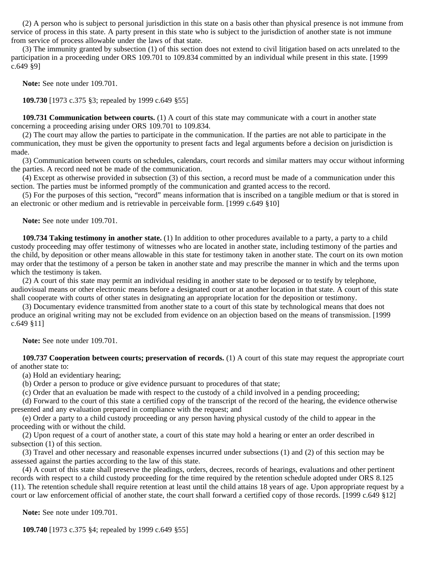(2) A person who is subject to personal jurisdiction in this state on a basis other than physical presence is not immune from service of process in this state. A party present in this state who is subject to the jurisdiction of another state is not immune from service of process allowable under the laws of that state.

 (3) The immunity granted by subsection (1) of this section does not extend to civil litigation based on acts unrelated to the participation in a proceeding under ORS 109.701 to 109.834 committed by an individual while present in this state. [1999 c.649 §9]

 **Note:** See note under 109.701.

 **109.730** [1973 c.375 §3; repealed by 1999 c.649 §55]

**109.731 Communication between courts.** (1) A court of this state may communicate with a court in another state concerning a proceeding arising under ORS 109.701 to 109.834.

 (2) The court may allow the parties to participate in the communication. If the parties are not able to participate in the communication, they must be given the opportunity to present facts and legal arguments before a decision on jurisdiction is made.

 (3) Communication between courts on schedules, calendars, court records and similar matters may occur without informing the parties. A record need not be made of the communication.

 (4) Except as otherwise provided in subsection (3) of this section, a record must be made of a communication under this section. The parties must be informed promptly of the communication and granted access to the record.

 (5) For the purposes of this section, "record" means information that is inscribed on a tangible medium or that is stored in an electronic or other medium and is retrievable in perceivable form. [1999 c.649 §10]

 **Note:** See note under 109.701.

 **109.734 Taking testimony in another state.** (1) In addition to other procedures available to a party, a party to a child custody proceeding may offer testimony of witnesses who are located in another state, including testimony of the parties and the child, by deposition or other means allowable in this state for testimony taken in another state. The court on its own motion may order that the testimony of a person be taken in another state and may prescribe the manner in which and the terms upon which the testimony is taken.

 (2) A court of this state may permit an individual residing in another state to be deposed or to testify by telephone, audiovisual means or other electronic means before a designated court or at another location in that state. A court of this state shall cooperate with courts of other states in designating an appropriate location for the deposition or testimony.

 (3) Documentary evidence transmitted from another state to a court of this state by technological means that does not produce an original writing may not be excluded from evidence on an objection based on the means of transmission. [1999 c.649 §11]

 **Note:** See note under 109.701.

 **109.737 Cooperation between courts; preservation of records.** (1) A court of this state may request the appropriate court of another state to:

(a) Hold an evidentiary hearing;

(b) Order a person to produce or give evidence pursuant to procedures of that state;

(c) Order that an evaluation be made with respect to the custody of a child involved in a pending proceeding;

 (d) Forward to the court of this state a certified copy of the transcript of the record of the hearing, the evidence otherwise presented and any evaluation prepared in compliance with the request; and

 (e) Order a party to a child custody proceeding or any person having physical custody of the child to appear in the proceeding with or without the child.

 (2) Upon request of a court of another state, a court of this state may hold a hearing or enter an order described in subsection (1) of this section.

 (3) Travel and other necessary and reasonable expenses incurred under subsections (1) and (2) of this section may be assessed against the parties according to the law of this state.

 (4) A court of this state shall preserve the pleadings, orders, decrees, records of hearings, evaluations and other pertinent records with respect to a child custody proceeding for the time required by the retention schedule adopted under ORS 8.125 (11). The retention schedule shall require retention at least until the child attains 18 years of age. Upon appropriate request by a court or law enforcement official of another state, the court shall forward a certified copy of those records. [1999 c.649 §12]

 **Note:** See note under 109.701.

 **109.740** [1973 c.375 §4; repealed by 1999 c.649 §55]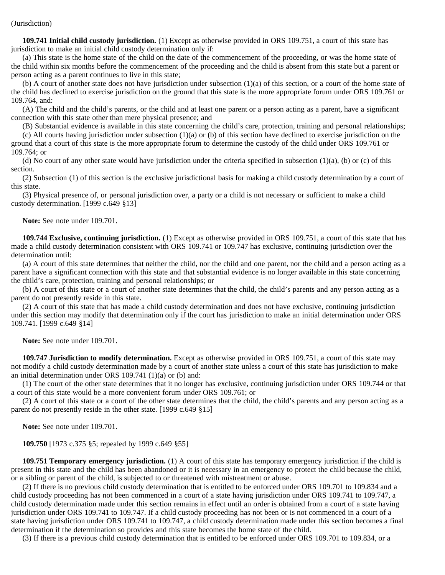**109.741 Initial child custody jurisdiction.** (1) Except as otherwise provided in ORS 109.751, a court of this state has jurisdiction to make an initial child custody determination only if:

 (a) This state is the home state of the child on the date of the commencement of the proceeding, or was the home state of the child within six months before the commencement of the proceeding and the child is absent from this state but a parent or person acting as a parent continues to live in this state;

 (b) A court of another state does not have jurisdiction under subsection (1)(a) of this section, or a court of the home state of the child has declined to exercise jurisdiction on the ground that this state is the more appropriate forum under ORS 109.761 or 109.764, and:

 (A) The child and the child's parents, or the child and at least one parent or a person acting as a parent, have a significant connection with this state other than mere physical presence; and

(B) Substantial evidence is available in this state concerning the child's care, protection, training and personal relationships;

(c) All courts having jurisdiction under subsection  $(1)(a)$  or (b) of this section have declined to exercise jurisdiction on the ground that a court of this state is the more appropriate forum to determine the custody of the child under ORS 109.761 or 109.764; or

 (d) No court of any other state would have jurisdiction under the criteria specified in subsection (1)(a), (b) or (c) of this section.

 (2) Subsection (1) of this section is the exclusive jurisdictional basis for making a child custody determination by a court of this state.

 (3) Physical presence of, or personal jurisdiction over, a party or a child is not necessary or sufficient to make a child custody determination. [1999 c.649 §13]

 **Note:** See note under 109.701.

 **109.744 Exclusive, continuing jurisdiction.** (1) Except as otherwise provided in ORS 109.751, a court of this state that has made a child custody determination consistent with ORS 109.741 or 109.747 has exclusive, continuing jurisdiction over the determination until:

 (a) A court of this state determines that neither the child, nor the child and one parent, nor the child and a person acting as a parent have a significant connection with this state and that substantial evidence is no longer available in this state concerning the child's care, protection, training and personal relationships; or

 (b) A court of this state or a court of another state determines that the child, the child's parents and any person acting as a parent do not presently reside in this state.

 (2) A court of this state that has made a child custody determination and does not have exclusive, continuing jurisdiction under this section may modify that determination only if the court has jurisdiction to make an initial determination under ORS 109.741. [1999 c.649 §14]

 **Note:** See note under 109.701.

 **109.747 Jurisdiction to modify determination.** Except as otherwise provided in ORS 109.751, a court of this state may not modify a child custody determination made by a court of another state unless a court of this state has jurisdiction to make an initial determination under ORS 109.741 (1)(a) or (b) and:

 (1) The court of the other state determines that it no longer has exclusive, continuing jurisdiction under ORS 109.744 or that a court of this state would be a more convenient forum under ORS 109.761; or

 (2) A court of this state or a court of the other state determines that the child, the child's parents and any person acting as a parent do not presently reside in the other state. [1999 c.649 §15]

 **Note:** See note under 109.701.

 **109.750** [1973 c.375 §5; repealed by 1999 c.649 §55]

 **109.751 Temporary emergency jurisdiction.** (1) A court of this state has temporary emergency jurisdiction if the child is present in this state and the child has been abandoned or it is necessary in an emergency to protect the child because the child, or a sibling or parent of the child, is subjected to or threatened with mistreatment or abuse.

 (2) If there is no previous child custody determination that is entitled to be enforced under ORS 109.701 to 109.834 and a child custody proceeding has not been commenced in a court of a state having jurisdiction under ORS 109.741 to 109.747, a child custody determination made under this section remains in effect until an order is obtained from a court of a state having jurisdiction under ORS 109.741 to 109.747. If a child custody proceeding has not been or is not commenced in a court of a state having jurisdiction under ORS 109.741 to 109.747, a child custody determination made under this section becomes a final determination if the determination so provides and this state becomes the home state of the child.

(3) If there is a previous child custody determination that is entitled to be enforced under ORS 109.701 to 109.834, or a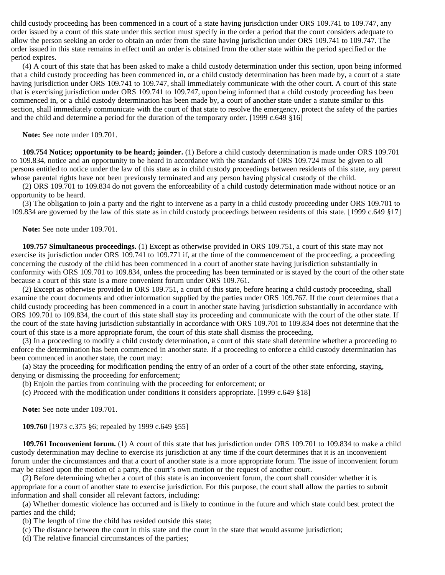child custody proceeding has been commenced in a court of a state having jurisdiction under ORS 109.741 to 109.747, any order issued by a court of this state under this section must specify in the order a period that the court considers adequate to allow the person seeking an order to obtain an order from the state having jurisdiction under ORS 109.741 to 109.747. The order issued in this state remains in effect until an order is obtained from the other state within the period specified or the period expires.

 (4) A court of this state that has been asked to make a child custody determination under this section, upon being informed that a child custody proceeding has been commenced in, or a child custody determination has been made by, a court of a state having jurisdiction under ORS 109.741 to 109.747, shall immediately communicate with the other court. A court of this state that is exercising jurisdiction under ORS 109.741 to 109.747, upon being informed that a child custody proceeding has been commenced in, or a child custody determination has been made by, a court of another state under a statute similar to this section, shall immediately communicate with the court of that state to resolve the emergency, protect the safety of the parties and the child and determine a period for the duration of the temporary order. [1999 c.649 §16]

 **Note:** See note under 109.701.

 **109.754 Notice; opportunity to be heard; joinder.** (1) Before a child custody determination is made under ORS 109.701 to 109.834, notice and an opportunity to be heard in accordance with the standards of ORS 109.724 must be given to all persons entitled to notice under the law of this state as in child custody proceedings between residents of this state, any parent whose parental rights have not been previously terminated and any person having physical custody of the child.

 (2) ORS 109.701 to 109.834 do not govern the enforceability of a child custody determination made without notice or an opportunity to be heard.

 (3) The obligation to join a party and the right to intervene as a party in a child custody proceeding under ORS 109.701 to 109.834 are governed by the law of this state as in child custody proceedings between residents of this state. [1999 c.649 §17]

 **Note:** See note under 109.701.

 **109.757 Simultaneous proceedings.** (1) Except as otherwise provided in ORS 109.751, a court of this state may not exercise its jurisdiction under ORS 109.741 to 109.771 if, at the time of the commencement of the proceeding, a proceeding concerning the custody of the child has been commenced in a court of another state having jurisdiction substantially in conformity with ORS 109.701 to 109.834, unless the proceeding has been terminated or is stayed by the court of the other state because a court of this state is a more convenient forum under ORS 109.761.

 (2) Except as otherwise provided in ORS 109.751, a court of this state, before hearing a child custody proceeding, shall examine the court documents and other information supplied by the parties under ORS 109.767. If the court determines that a child custody proceeding has been commenced in a court in another state having jurisdiction substantially in accordance with ORS 109.701 to 109.834, the court of this state shall stay its proceeding and communicate with the court of the other state. If the court of the state having jurisdiction substantially in accordance with ORS 109.701 to 109.834 does not determine that the court of this state is a more appropriate forum, the court of this state shall dismiss the proceeding.

 (3) In a proceeding to modify a child custody determination, a court of this state shall determine whether a proceeding to enforce the determination has been commenced in another state. If a proceeding to enforce a child custody determination has been commenced in another state, the court may:

 (a) Stay the proceeding for modification pending the entry of an order of a court of the other state enforcing, staying, denying or dismissing the proceeding for enforcement;

(b) Enjoin the parties from continuing with the proceeding for enforcement; or

(c) Proceed with the modification under conditions it considers appropriate. [1999 c.649 §18]

 **Note:** See note under 109.701.

 **109.760** [1973 c.375 §6; repealed by 1999 c.649 §55]

 **109.761 Inconvenient forum.** (1) A court of this state that has jurisdiction under ORS 109.701 to 109.834 to make a child custody determination may decline to exercise its jurisdiction at any time if the court determines that it is an inconvenient forum under the circumstances and that a court of another state is a more appropriate forum. The issue of inconvenient forum may be raised upon the motion of a party, the court's own motion or the request of another court.

 (2) Before determining whether a court of this state is an inconvenient forum, the court shall consider whether it is appropriate for a court of another state to exercise jurisdiction. For this purpose, the court shall allow the parties to submit information and shall consider all relevant factors, including:

 (a) Whether domestic violence has occurred and is likely to continue in the future and which state could best protect the parties and the child;

(b) The length of time the child has resided outside this state;

(c) The distance between the court in this state and the court in the state that would assume jurisdiction;

(d) The relative financial circumstances of the parties;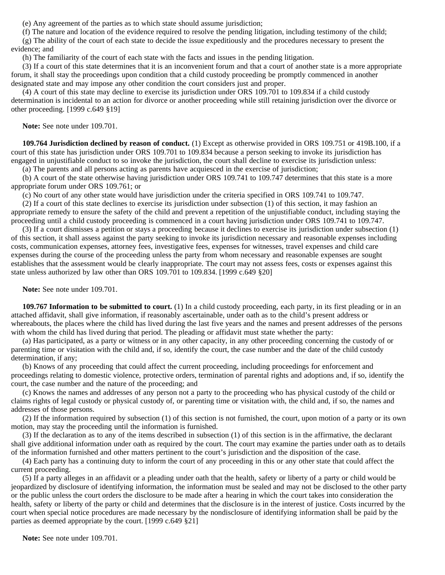(e) Any agreement of the parties as to which state should assume jurisdiction;

 (f) The nature and location of the evidence required to resolve the pending litigation, including testimony of the child; (g) The ability of the court of each state to decide the issue expeditiously and the procedures necessary to present the evidence; and

(h) The familiarity of the court of each state with the facts and issues in the pending litigation.

 (3) If a court of this state determines that it is an inconvenient forum and that a court of another state is a more appropriate forum, it shall stay the proceedings upon condition that a child custody proceeding be promptly commenced in another designated state and may impose any other condition the court considers just and proper.

 (4) A court of this state may decline to exercise its jurisdiction under ORS 109.701 to 109.834 if a child custody determination is incidental to an action for divorce or another proceeding while still retaining jurisdiction over the divorce or other proceeding. [1999 c.649 §19]

 **Note:** See note under 109.701.

 **109.764 Jurisdiction declined by reason of conduct.** (1) Except as otherwise provided in ORS 109.751 or 419B.100, if a court of this state has jurisdiction under ORS 109.701 to 109.834 because a person seeking to invoke its jurisdiction has engaged in unjustifiable conduct to so invoke the jurisdiction, the court shall decline to exercise its jurisdiction unless:

(a) The parents and all persons acting as parents have acquiesced in the exercise of jurisdiction;

 (b) A court of the state otherwise having jurisdiction under ORS 109.741 to 109.747 determines that this state is a more appropriate forum under ORS 109.761; or

(c) No court of any other state would have jurisdiction under the criteria specified in ORS 109.741 to 109.747.

 (2) If a court of this state declines to exercise its jurisdiction under subsection (1) of this section, it may fashion an appropriate remedy to ensure the safety of the child and prevent a repetition of the unjustifiable conduct, including staying the proceeding until a child custody proceeding is commenced in a court having jurisdiction under ORS 109.741 to 109.747.

 (3) If a court dismisses a petition or stays a proceeding because it declines to exercise its jurisdiction under subsection (1) of this section, it shall assess against the party seeking to invoke its jurisdiction necessary and reasonable expenses including costs, communication expenses, attorney fees, investigative fees, expenses for witnesses, travel expenses and child care expenses during the course of the proceeding unless the party from whom necessary and reasonable expenses are sought establishes that the assessment would be clearly inappropriate. The court may not assess fees, costs or expenses against this state unless authorized by law other than ORS 109.701 to 109.834. [1999 c.649 §20]

 **Note:** See note under 109.701.

 **109.767 Information to be submitted to court.** (1) In a child custody proceeding, each party, in its first pleading or in an attached affidavit, shall give information, if reasonably ascertainable, under oath as to the child's present address or whereabouts, the places where the child has lived during the last five years and the names and present addresses of the persons with whom the child has lived during that period. The pleading or affidavit must state whether the party:

 (a) Has participated, as a party or witness or in any other capacity, in any other proceeding concerning the custody of or parenting time or visitation with the child and, if so, identify the court, the case number and the date of the child custody determination, if any;

 (b) Knows of any proceeding that could affect the current proceeding, including proceedings for enforcement and proceedings relating to domestic violence, protective orders, termination of parental rights and adoptions and, if so, identify the court, the case number and the nature of the proceeding; and

 (c) Knows the names and addresses of any person not a party to the proceeding who has physical custody of the child or claims rights of legal custody or physical custody of, or parenting time or visitation with, the child and, if so, the names and addresses of those persons.

 (2) If the information required by subsection (1) of this section is not furnished, the court, upon motion of a party or its own motion, may stay the proceeding until the information is furnished.

 (3) If the declaration as to any of the items described in subsection (1) of this section is in the affirmative, the declarant shall give additional information under oath as required by the court. The court may examine the parties under oath as to details of the information furnished and other matters pertinent to the court's jurisdiction and the disposition of the case.

 (4) Each party has a continuing duty to inform the court of any proceeding in this or any other state that could affect the current proceeding.

 (5) If a party alleges in an affidavit or a pleading under oath that the health, safety or liberty of a party or child would be jeopardized by disclosure of identifying information, the information must be sealed and may not be disclosed to the other party or the public unless the court orders the disclosure to be made after a hearing in which the court takes into consideration the health, safety or liberty of the party or child and determines that the disclosure is in the interest of justice. Costs incurred by the court when special notice procedures are made necessary by the nondisclosure of identifying information shall be paid by the parties as deemed appropriate by the court. [1999 c.649 §21]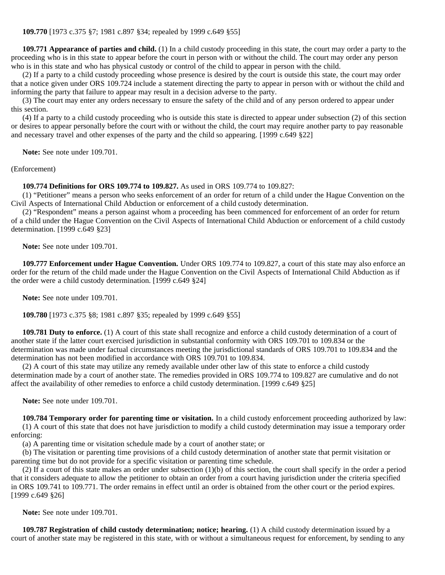**109.771 Appearance of parties and child.** (1) In a child custody proceeding in this state, the court may order a party to the proceeding who is in this state to appear before the court in person with or without the child. The court may order any person who is in this state and who has physical custody or control of the child to appear in person with the child.

 (2) If a party to a child custody proceeding whose presence is desired by the court is outside this state, the court may order that a notice given under ORS 109.724 include a statement directing the party to appear in person with or without the child and informing the party that failure to appear may result in a decision adverse to the party.

 (3) The court may enter any orders necessary to ensure the safety of the child and of any person ordered to appear under this section.

 (4) If a party to a child custody proceeding who is outside this state is directed to appear under subsection (2) of this section or desires to appear personally before the court with or without the child, the court may require another party to pay reasonable and necessary travel and other expenses of the party and the child so appearing. [1999 c.649 §22]

 **Note:** See note under 109.701.

(Enforcement)

 **109.774 Definitions for ORS 109.774 to 109.827.** As used in ORS 109.774 to 109.827:

 (1) "Petitioner" means a person who seeks enforcement of an order for return of a child under the Hague Convention on the Civil Aspects of International Child Abduction or enforcement of a child custody determination.

 (2) "Respondent" means a person against whom a proceeding has been commenced for enforcement of an order for return of a child under the Hague Convention on the Civil Aspects of International Child Abduction or enforcement of a child custody determination. [1999 c.649 §23]

 **Note:** See note under 109.701.

 **109.777 Enforcement under Hague Convention.** Under ORS 109.774 to 109.827, a court of this state may also enforce an order for the return of the child made under the Hague Convention on the Civil Aspects of International Child Abduction as if the order were a child custody determination. [1999 c.649 §24]

 **Note:** See note under 109.701.

 **109.780** [1973 c.375 §8; 1981 c.897 §35; repealed by 1999 c.649 §55]

**109.781 Duty to enforce.** (1) A court of this state shall recognize and enforce a child custody determination of a court of another state if the latter court exercised jurisdiction in substantial conformity with ORS 109.701 to 109.834 or the determination was made under factual circumstances meeting the jurisdictional standards of ORS 109.701 to 109.834 and the determination has not been modified in accordance with ORS 109.701 to 109.834.

 (2) A court of this state may utilize any remedy available under other law of this state to enforce a child custody determination made by a court of another state. The remedies provided in ORS 109.774 to 109.827 are cumulative and do not affect the availability of other remedies to enforce a child custody determination. [1999 c.649 §25]

 **Note:** See note under 109.701.

 **109.784 Temporary order for parenting time or visitation.** In a child custody enforcement proceeding authorized by law: (1) A court of this state that does not have jurisdiction to modify a child custody determination may issue a temporary order enforcing:

(a) A parenting time or visitation schedule made by a court of another state; or

 (b) The visitation or parenting time provisions of a child custody determination of another state that permit visitation or parenting time but do not provide for a specific visitation or parenting time schedule.

 (2) If a court of this state makes an order under subsection (1)(b) of this section, the court shall specify in the order a period that it considers adequate to allow the petitioner to obtain an order from a court having jurisdiction under the criteria specified in ORS 109.741 to 109.771. The order remains in effect until an order is obtained from the other court or the period expires. [1999 c.649 §26]

 **Note:** See note under 109.701.

 **109.787 Registration of child custody determination; notice; hearing.** (1) A child custody determination issued by a court of another state may be registered in this state, with or without a simultaneous request for enforcement, by sending to any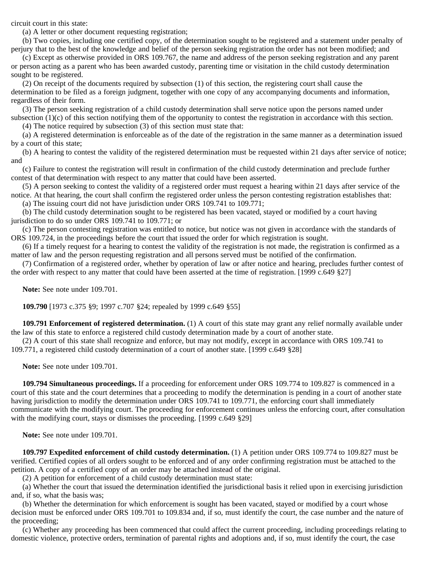circuit court in this state:

(a) A letter or other document requesting registration;

 (b) Two copies, including one certified copy, of the determination sought to be registered and a statement under penalty of perjury that to the best of the knowledge and belief of the person seeking registration the order has not been modified; and

 (c) Except as otherwise provided in ORS 109.767, the name and address of the person seeking registration and any parent or person acting as a parent who has been awarded custody, parenting time or visitation in the child custody determination sought to be registered.

 (2) On receipt of the documents required by subsection (1) of this section, the registering court shall cause the determination to be filed as a foreign judgment, together with one copy of any accompanying documents and information, regardless of their form.

 (3) The person seeking registration of a child custody determination shall serve notice upon the persons named under subsection (1)(c) of this section notifying them of the opportunity to contest the registration in accordance with this section. (4) The notice required by subsection (3) of this section must state that:

 (a) A registered determination is enforceable as of the date of the registration in the same manner as a determination issued by a court of this state;

 (b) A hearing to contest the validity of the registered determination must be requested within 21 days after service of notice; and

 (c) Failure to contest the registration will result in confirmation of the child custody determination and preclude further contest of that determination with respect to any matter that could have been asserted.

 (5) A person seeking to contest the validity of a registered order must request a hearing within 21 days after service of the notice. At that hearing, the court shall confirm the registered order unless the person contesting registration establishes that:

(a) The issuing court did not have jurisdiction under ORS 109.741 to 109.771;

 (b) The child custody determination sought to be registered has been vacated, stayed or modified by a court having jurisdiction to do so under ORS 109.741 to 109.771; or

 (c) The person contesting registration was entitled to notice, but notice was not given in accordance with the standards of ORS 109.724, in the proceedings before the court that issued the order for which registration is sought.

 (6) If a timely request for a hearing to contest the validity of the registration is not made, the registration is confirmed as a matter of law and the person requesting registration and all persons served must be notified of the confirmation.

 (7) Confirmation of a registered order, whether by operation of law or after notice and hearing, precludes further contest of the order with respect to any matter that could have been asserted at the time of registration. [1999 c.649 §27]

 **Note:** See note under 109.701.

 **109.790** [1973 c.375 §9; 1997 c.707 §24; repealed by 1999 c.649 §55]

 **109.791 Enforcement of registered determination.** (1) A court of this state may grant any relief normally available under the law of this state to enforce a registered child custody determination made by a court of another state.

 (2) A court of this state shall recognize and enforce, but may not modify, except in accordance with ORS 109.741 to 109.771, a registered child custody determination of a court of another state. [1999 c.649 §28]

 **Note:** See note under 109.701.

 **109.794 Simultaneous proceedings.** If a proceeding for enforcement under ORS 109.774 to 109.827 is commenced in a court of this state and the court determines that a proceeding to modify the determination is pending in a court of another state having jurisdiction to modify the determination under ORS 109.741 to 109.771, the enforcing court shall immediately communicate with the modifying court. The proceeding for enforcement continues unless the enforcing court, after consultation with the modifying court, stays or dismisses the proceeding. [1999 c.649 §29]

 **Note:** See note under 109.701.

 **109.797 Expedited enforcement of child custody determination.** (1) A petition under ORS 109.774 to 109.827 must be verified. Certified copies of all orders sought to be enforced and of any order confirming registration must be attached to the petition. A copy of a certified copy of an order may be attached instead of the original.

(2) A petition for enforcement of a child custody determination must state:

 (a) Whether the court that issued the determination identified the jurisdictional basis it relied upon in exercising jurisdiction and, if so, what the basis was;

 (b) Whether the determination for which enforcement is sought has been vacated, stayed or modified by a court whose decision must be enforced under ORS 109.701 to 109.834 and, if so, must identify the court, the case number and the nature of the proceeding;

 (c) Whether any proceeding has been commenced that could affect the current proceeding, including proceedings relating to domestic violence, protective orders, termination of parental rights and adoptions and, if so, must identify the court, the case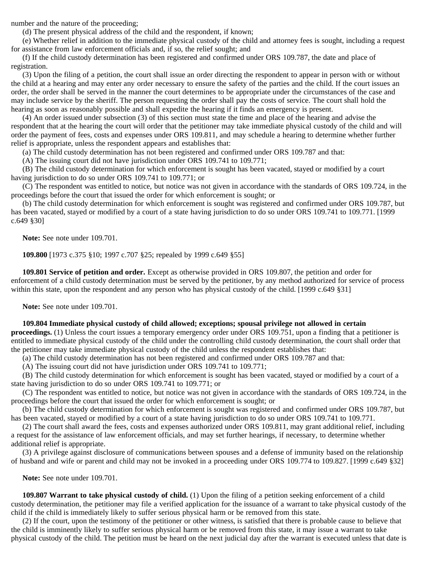number and the nature of the proceeding;

(d) The present physical address of the child and the respondent, if known;

 (e) Whether relief in addition to the immediate physical custody of the child and attorney fees is sought, including a request for assistance from law enforcement officials and, if so, the relief sought; and

 (f) If the child custody determination has been registered and confirmed under ORS 109.787, the date and place of registration.

 (3) Upon the filing of a petition, the court shall issue an order directing the respondent to appear in person with or without the child at a hearing and may enter any order necessary to ensure the safety of the parties and the child. If the court issues an order, the order shall be served in the manner the court determines to be appropriate under the circumstances of the case and may include service by the sheriff. The person requesting the order shall pay the costs of service. The court shall hold the hearing as soon as reasonably possible and shall expedite the hearing if it finds an emergency is present.

 (4) An order issued under subsection (3) of this section must state the time and place of the hearing and advise the respondent that at the hearing the court will order that the petitioner may take immediate physical custody of the child and will order the payment of fees, costs and expenses under ORS 109.811, and may schedule a hearing to determine whether further relief is appropriate, unless the respondent appears and establishes that:

(a) The child custody determination has not been registered and confirmed under ORS 109.787 and that:

(A) The issuing court did not have jurisdiction under ORS 109.741 to 109.771;

 (B) The child custody determination for which enforcement is sought has been vacated, stayed or modified by a court having jurisdiction to do so under ORS 109.741 to 109.771; or

 (C) The respondent was entitled to notice, but notice was not given in accordance with the standards of ORS 109.724, in the proceedings before the court that issued the order for which enforcement is sought; or

 (b) The child custody determination for which enforcement is sought was registered and confirmed under ORS 109.787, but has been vacated, stayed or modified by a court of a state having jurisdiction to do so under ORS 109.741 to 109.771. [1999 c.649 §30]

 **Note:** See note under 109.701.

 **109.800** [1973 c.375 §10; 1997 c.707 §25; repealed by 1999 c.649 §55]

 **109.801 Service of petition and order.** Except as otherwise provided in ORS 109.807, the petition and order for enforcement of a child custody determination must be served by the petitioner, by any method authorized for service of process within this state, upon the respondent and any person who has physical custody of the child. [1999 c.649 §31]

 **Note:** See note under 109.701.

### **109.804 Immediate physical custody of child allowed; exceptions; spousal privilege not allowed in certain**

**proceedings.** (1) Unless the court issues a temporary emergency order under ORS 109.751, upon a finding that a petitioner is entitled to immediate physical custody of the child under the controlling child custody determination, the court shall order that the petitioner may take immediate physical custody of the child unless the respondent establishes that:

(a) The child custody determination has not been registered and confirmed under ORS 109.787 and that:

(A) The issuing court did not have jurisdiction under ORS 109.741 to 109.771;

 (B) The child custody determination for which enforcement is sought has been vacated, stayed or modified by a court of a state having jurisdiction to do so under ORS 109.741 to 109.771; or

 (C) The respondent was entitled to notice, but notice was not given in accordance with the standards of ORS 109.724, in the proceedings before the court that issued the order for which enforcement is sought; or

 (b) The child custody determination for which enforcement is sought was registered and confirmed under ORS 109.787, but has been vacated, stayed or modified by a court of a state having jurisdiction to do so under ORS 109.741 to 109.771.

 (2) The court shall award the fees, costs and expenses authorized under ORS 109.811, may grant additional relief, including a request for the assistance of law enforcement officials, and may set further hearings, if necessary, to determine whether additional relief is appropriate.

 (3) A privilege against disclosure of communications between spouses and a defense of immunity based on the relationship of husband and wife or parent and child may not be invoked in a proceeding under ORS 109.774 to 109.827. [1999 c.649 §32]

 **Note:** See note under 109.701.

 **109.807 Warrant to take physical custody of child.** (1) Upon the filing of a petition seeking enforcement of a child custody determination, the petitioner may file a verified application for the issuance of a warrant to take physical custody of the child if the child is immediately likely to suffer serious physical harm or be removed from this state.

 (2) If the court, upon the testimony of the petitioner or other witness, is satisfied that there is probable cause to believe that the child is imminently likely to suffer serious physical harm or be removed from this state, it may issue a warrant to take physical custody of the child. The petition must be heard on the next judicial day after the warrant is executed unless that date is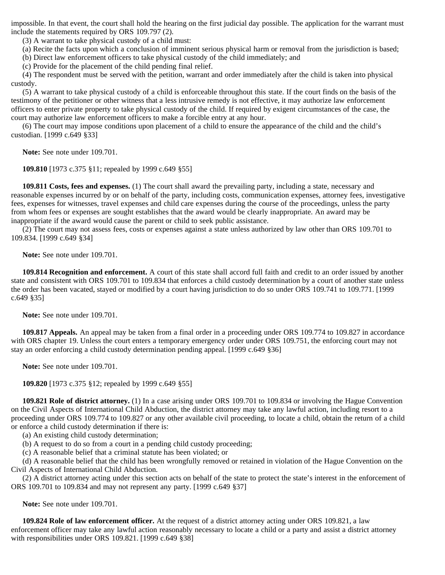impossible. In that event, the court shall hold the hearing on the first judicial day possible. The application for the warrant must include the statements required by ORS 109.797 (2).

(3) A warrant to take physical custody of a child must:

(a) Recite the facts upon which a conclusion of imminent serious physical harm or removal from the jurisdiction is based;

(b) Direct law enforcement officers to take physical custody of the child immediately; and

(c) Provide for the placement of the child pending final relief.

 (4) The respondent must be served with the petition, warrant and order immediately after the child is taken into physical custody.

 (5) A warrant to take physical custody of a child is enforceable throughout this state. If the court finds on the basis of the testimony of the petitioner or other witness that a less intrusive remedy is not effective, it may authorize law enforcement officers to enter private property to take physical custody of the child. If required by exigent circumstances of the case, the court may authorize law enforcement officers to make a forcible entry at any hour.

 (6) The court may impose conditions upon placement of a child to ensure the appearance of the child and the child's custodian. [1999 c.649 §33]

 **Note:** See note under 109.701.

 **109.810** [1973 c.375 §11; repealed by 1999 c.649 §55]

 **109.811 Costs, fees and expenses.** (1) The court shall award the prevailing party, including a state, necessary and reasonable expenses incurred by or on behalf of the party, including costs, communication expenses, attorney fees, investigative fees, expenses for witnesses, travel expenses and child care expenses during the course of the proceedings, unless the party from whom fees or expenses are sought establishes that the award would be clearly inappropriate. An award may be inappropriate if the award would cause the parent or child to seek public assistance.

 (2) The court may not assess fees, costs or expenses against a state unless authorized by law other than ORS 109.701 to 109.834. [1999 c.649 §34]

 **Note:** See note under 109.701.

 **109.814 Recognition and enforcement.** A court of this state shall accord full faith and credit to an order issued by another state and consistent with ORS 109.701 to 109.834 that enforces a child custody determination by a court of another state unless the order has been vacated, stayed or modified by a court having jurisdiction to do so under ORS 109.741 to 109.771. [1999 c.649 §35]

 **Note:** See note under 109.701.

 **109.817 Appeals.** An appeal may be taken from a final order in a proceeding under ORS 109.774 to 109.827 in accordance with ORS chapter 19. Unless the court enters a temporary emergency order under ORS 109.751, the enforcing court may not stay an order enforcing a child custody determination pending appeal. [1999 c.649 §36]

 **Note:** See note under 109.701.

 **109.820** [1973 c.375 §12; repealed by 1999 c.649 §55]

 **109.821 Role of district attorney.** (1) In a case arising under ORS 109.701 to 109.834 or involving the Hague Convention on the Civil Aspects of International Child Abduction, the district attorney may take any lawful action, including resort to a proceeding under ORS 109.774 to 109.827 or any other available civil proceeding, to locate a child, obtain the return of a child or enforce a child custody determination if there is:

(a) An existing child custody determination;

(b) A request to do so from a court in a pending child custody proceeding;

(c) A reasonable belief that a criminal statute has been violated; or

 (d) A reasonable belief that the child has been wrongfully removed or retained in violation of the Hague Convention on the Civil Aspects of International Child Abduction.

 (2) A district attorney acting under this section acts on behalf of the state to protect the state's interest in the enforcement of ORS 109.701 to 109.834 and may not represent any party. [1999 c.649 §37]

 **Note:** See note under 109.701.

 **109.824 Role of law enforcement officer.** At the request of a district attorney acting under ORS 109.821, a law enforcement officer may take any lawful action reasonably necessary to locate a child or a party and assist a district attorney with responsibilities under ORS 109.821. [1999 c.649 §38]